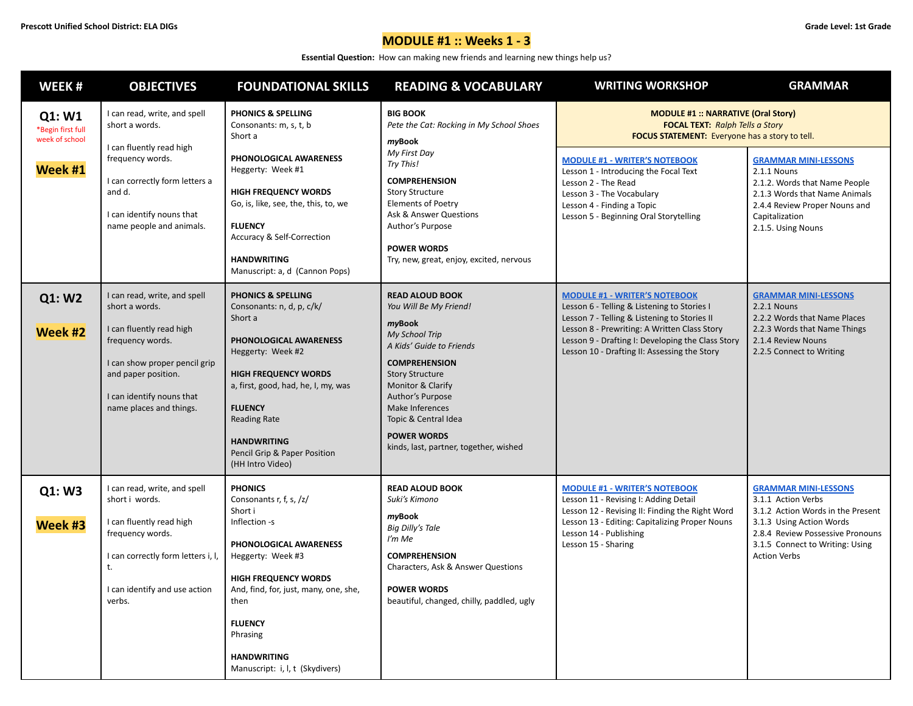**Essential Question:** How can making new friends and learning new things help us?

| WEEK#                                                    | <b>OBJECTIVES</b>                                                                                                                                                                                              | <b>FOUNDATIONAL SKILLS</b>                                                                                                                                                                                                                                                                                    | <b>READING &amp; VOCABULARY</b>                                                                                                                                                                                                                                                                                | <b>WRITING WORKSHOP</b>                                                                                                                                                                                                                                                                                                                                  | <b>GRAMMAR</b>                                                                                                                                                                                                   |
|----------------------------------------------------------|----------------------------------------------------------------------------------------------------------------------------------------------------------------------------------------------------------------|---------------------------------------------------------------------------------------------------------------------------------------------------------------------------------------------------------------------------------------------------------------------------------------------------------------|----------------------------------------------------------------------------------------------------------------------------------------------------------------------------------------------------------------------------------------------------------------------------------------------------------------|----------------------------------------------------------------------------------------------------------------------------------------------------------------------------------------------------------------------------------------------------------------------------------------------------------------------------------------------------------|------------------------------------------------------------------------------------------------------------------------------------------------------------------------------------------------------------------|
| Q1: W1<br>*Begin first full<br>week of school<br>Week #1 | I can read, write, and spell<br>short a words.<br>I can fluently read high<br>frequency words.<br>I can correctly form letters a<br>and d.<br>I can identify nouns that<br>name people and animals.            | <b>PHONICS &amp; SPELLING</b><br>Consonants: m, s, t, b<br>Short a<br>PHONOLOGICAL AWARENESS<br>Heggerty: Week #1<br><b>HIGH FREQUENCY WORDS</b><br>Go, is, like, see, the, this, to, we<br><b>FLUENCY</b><br><b>Accuracy &amp; Self-Correction</b><br><b>HANDWRITING</b><br>Manuscript: a, d (Cannon Pops)   | <b>BIG BOOK</b><br>Pete the Cat: Rocking in My School Shoes<br>myBook<br>My First Day<br>Try This!<br><b>COMPREHENSION</b><br><b>Story Structure</b><br><b>Elements of Poetry</b><br>Ask & Answer Questions<br>Author's Purpose<br><b>POWER WORDS</b><br>Try, new, great, enjoy, excited, nervous              | <b>MODULE #1: NARRATIVE (Oral Story)</b><br><b>FOCAL TEXT:</b> Ralph Tells a Story<br><b>FOCUS STATEMENT:</b> Everyone has a story to tell.<br><b>MODULE #1 - WRITER'S NOTEBOOK</b><br>Lesson 1 - Introducing the Focal Text<br>Lesson 2 - The Read<br>Lesson 3 - The Vocabulary<br>Lesson 4 - Finding a Topic<br>Lesson 5 - Beginning Oral Storytelling | <b>GRAMMAR MINI-LESSONS</b><br>2.1.1 Nouns<br>2.1.2. Words that Name People<br>2.1.3 Words that Name Animals<br>2.4.4 Review Proper Nouns and<br>Capitalization<br>2.1.5. Using Nouns                            |
| Q1: W2<br>Week #2                                        | I can read, write, and spell<br>short a words.<br>I can fluently read high<br>frequency words.<br>I can show proper pencil grip<br>and paper position.<br>I can identify nouns that<br>name places and things. | <b>PHONICS &amp; SPELLING</b><br>Consonants: n, d, p, c/k/<br>Short a<br>PHONOLOGICAL AWARENESS<br>Heggerty: Week #2<br><b>HIGH FREQUENCY WORDS</b><br>a, first, good, had, he, I, my, was<br><b>FLUENCY</b><br><b>Reading Rate</b><br><b>HANDWRITING</b><br>Pencil Grip & Paper Position<br>(HH Intro Video) | <b>READ ALOUD BOOK</b><br>You Will Be My Friend!<br>myBook<br>My School Trip<br>A Kids' Guide to Friends<br><b>COMPREHENSION</b><br><b>Story Structure</b><br>Monitor & Clarify<br>Author's Purpose<br>Make Inferences<br>Topic & Central Idea<br><b>POWER WORDS</b><br>kinds, last, partner, together, wished | <u> MODULE #1 - WRITER'S NOTEBOOK</u><br>Lesson 6 - Telling & Listening to Stories I<br>Lesson 7 - Telling & Listening to Stories II<br>Lesson 8 - Prewriting: A Written Class Story<br>Lesson 9 - Drafting I: Developing the Class Story<br>Lesson 10 - Drafting II: Assessing the Story                                                                | <b>GRAMMAR MINI-LESSONS</b><br>2.2.1 Nouns<br>2.2.2 Words that Name Places<br>2.2.3 Words that Name Things<br>2.1.4 Review Nouns<br>2.2.5 Connect to Writing                                                     |
| Q1: W3<br>Week #3                                        | I can read, write, and spell<br>short i words.<br>I can fluently read high<br>frequency words.<br>I can correctly form letters i, I,<br>t.<br>I can identify and use action<br>verbs.                          | <b>PHONICS</b><br>Consonants r, f, s, /z/<br>Short i<br>Inflection -s<br>PHONOLOGICAL AWARENESS<br>Heggerty: Week #3<br><b>HIGH FREQUENCY WORDS</b><br>And, find, for, just, many, one, she,<br>then<br><b>FLUENCY</b><br>Phrasing<br><b>HANDWRITING</b><br>Manuscript: i, l, t (Skydivers)                   | <b>READ ALOUD BOOK</b><br>Suki's Kimono<br>myBook<br>Big Dilly's Tale<br>I'm Me<br><b>COMPREHENSION</b><br>Characters, Ask & Answer Questions<br><b>POWER WORDS</b><br>beautiful, changed, chilly, paddled, ugly                                                                                               | <b>MODULE #1 - WRITER'S NOTEBOOK</b><br>Lesson 11 - Revising I: Adding Detail<br>Lesson 12 - Revising II: Finding the Right Word<br>Lesson 13 - Editing: Capitalizing Proper Nouns<br>Lesson 14 - Publishing<br>Lesson 15 - Sharing                                                                                                                      | <b>GRAMMAR MINI-LESSONS</b><br>3.1.1 Action Verbs<br>3.1.2 Action Words in the Present<br>3.1.3 Using Action Words<br>2.8.4 Review Possessive Pronouns<br>3.1.5 Connect to Writing: Using<br><b>Action Verbs</b> |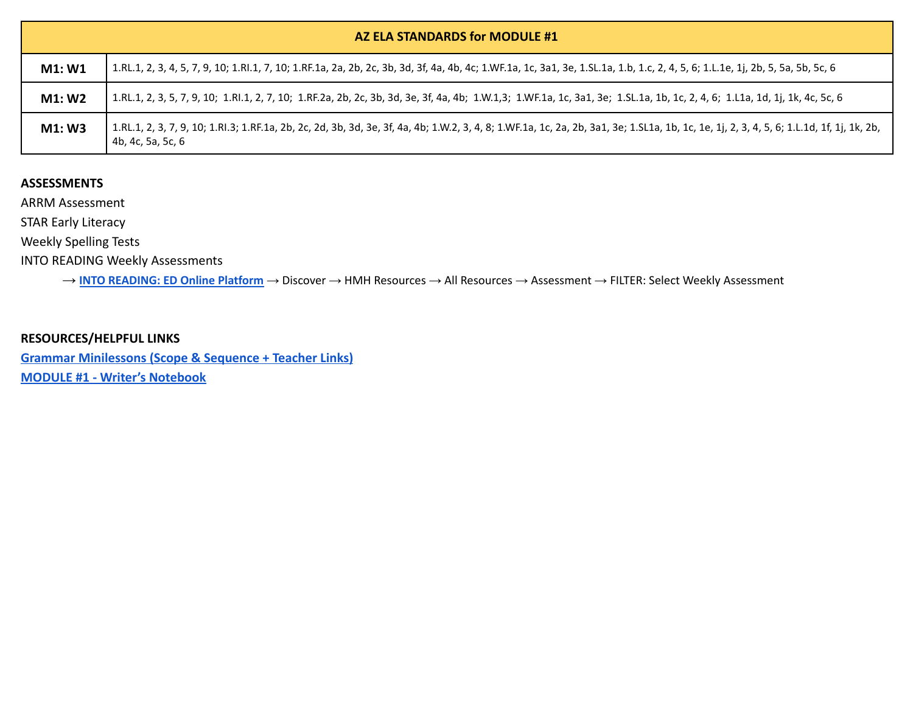|        | AZ ELA STANDARDS for MODULE #1                                                                                                                                                                                                 |  |  |  |
|--------|--------------------------------------------------------------------------------------------------------------------------------------------------------------------------------------------------------------------------------|--|--|--|
| M1: W1 | 1.RL.1, 2, 3, 4, 5, 7, 9, 10; 1.Rl.1, 7, 10; 1.RF.1a, 2a, 2b, 2c, 3b, 3d, 3f, 4a, 4b, 4c; 1.WF.1a, 1c, 3a1, 3e, 1.SL.1a, 1.b, 1.c, 2, 4, 5, 6; 1.L.1e, 1j, 2b, 5, 5a, 5b, 5c, 6   1.Rl.1, 2, 3, 4, 5, 7, 9, 10; 1.Rl.1, 7, 10; |  |  |  |
| M1: W2 | 1.RL.1, 2, 3, 5, 7, 9, 10; 1.Rl.1, 2, 7, 10; 1.RF.2a, 2b, 2c, 3b, 3d, 3e, 3f, 4a, 4b; 1.W.1,3; 1.WF.1a, 1c, 3a1, 3e; 1.SL.1a, 1b, 1c, 2, 4, 6; 1.L1a, 1d, 1j, 1k, 4c, 5c, 6   1.Rl.1, 2, 7, 10; 1.RF.2a, 2b, 2c, 3b, 3d, 3e, 4 |  |  |  |
| M1:W3  | 1.RL.1, 2, 3, 7, 9, 10; 1.Rl.3; 1.RF.1a, 2b, 2c, 2d, 3b, 3d, 3e, 3f, 4a, 4b; 1.W.2, 3, 4, 8; 1.WF.1a, 1c, 2a, 2b, 3a1, 3e; 1.SL1a, 1b, 1c, 1e, 1j, 2, 3, 4, 5, 6; 1.L.1d, 1f, 1j, 1k, 2b,<br>4b, 4c, 5a, 5c, 6                 |  |  |  |

ARRM Assessment

STAR Early Literacy

Weekly Spelling Tests

INTO READING Weekly Assessments

→ **INTO [READING:](https://www.hmhco.com/ui/login/?state=https%3A%2F%2Fwww.hmhco.com%2Fone%2F%23%2F) ED Online Platform** → Discover → HMH Resources → All Resources → Assessment → FILTER: Select Weekly Assessment

**RESOURCES/HELPFUL LINKS [Grammar Minilessons \(Scope & Sequence + Teacher Links\)](https://www.hmhco.com/content/reading/into_reading/g1/teacher/epub/hmh_ir1na_egtggss_teacher/#cards--1re_gtg_na_gss_01/) [MODULE #1 - Writer's Notebook](https://www.hmhco.com/content/reading/into_reading/g1/teacher/pdf/1re_wnb_wr_01_oralstory.pdf?custom_correlation_id=24ee0f36-eb34-11eb-95c9-2d785fd6404b#page=1)**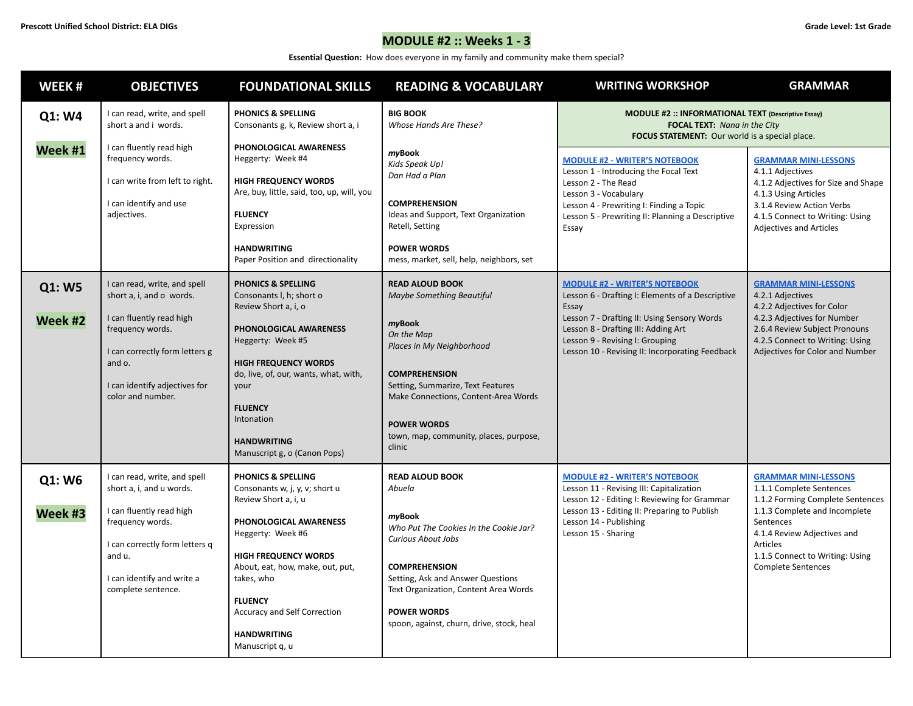# **MODULE #2 :: Weeks 1 - 3**

**Essential Question:** How does everyone in my family and community make them special?

| WEEK#             | <b>OBJECTIVES</b>                                                                                                                                                                                          | <b>FOUNDATIONAL SKILLS</b>                                                                                                                                                                                                                                                                              | <b>READING &amp; VOCABULARY</b>                                                                                                                                                                                                                                                            | <b>WRITING WORKSHOP</b>                                                                                                                                                                                                                                                       | <b>GRAMMAR</b>                                                                                                                                                                                                                                       |
|-------------------|------------------------------------------------------------------------------------------------------------------------------------------------------------------------------------------------------------|---------------------------------------------------------------------------------------------------------------------------------------------------------------------------------------------------------------------------------------------------------------------------------------------------------|--------------------------------------------------------------------------------------------------------------------------------------------------------------------------------------------------------------------------------------------------------------------------------------------|-------------------------------------------------------------------------------------------------------------------------------------------------------------------------------------------------------------------------------------------------------------------------------|------------------------------------------------------------------------------------------------------------------------------------------------------------------------------------------------------------------------------------------------------|
| Q1: W4            | I can read, write, and spell<br>short a and i words.                                                                                                                                                       | <b>PHONICS &amp; SPELLING</b><br>Consonants g, k, Review short a, i                                                                                                                                                                                                                                     | <b>BIG BOOK</b><br>Whose Hands Are These?                                                                                                                                                                                                                                                  | <b>MODULE #2 :: INFORMATIONAL TEXT (Descriptive Essay)</b><br><b>FOCAL TEXT:</b> Nana in the City<br>FOCUS STATEMENT: Our world is a special place.                                                                                                                           |                                                                                                                                                                                                                                                      |
| Week #1           | I can fluently read high<br>frequency words.<br>I can write from left to right.<br>I can identify and use<br>adjectives.                                                                                   | PHONOLOGICAL AWARENESS<br>Heggerty: Week #4<br><b>HIGH FREQUENCY WORDS</b><br>Are, buy, little, said, too, up, will, you<br><b>FLUENCY</b><br>Expression<br><b>HANDWRITING</b><br>Paper Position and directionality                                                                                     | myBook<br>Kids Speak Up!<br>Dan Had a Plan<br><b>COMPREHENSION</b><br>Ideas and Support, Text Organization<br>Retell, Setting<br><b>POWER WORDS</b><br>mess, market, sell, help, neighbors, set                                                                                            | <b>MODULE #2 - WRITER'S NOTEBOOK</b><br>Lesson 1 - Introducing the Focal Text<br>Lesson 2 - The Read<br>Lesson 3 - Vocabulary<br>Lesson 4 - Prewriting I: Finding a Topic<br>Lesson 5 - Prewriting II: Planning a Descriptive<br>Essay                                        | <b>GRAMMAR MINI-LESSONS</b><br>4.1.1 Adjectives<br>4.1.2 Adjectives for Size and Shape<br>4.1.3 Using Articles<br>3.1.4 Review Action Verbs<br>4.1.5 Connect to Writing: Using<br><b>Adjectives and Articles</b>                                     |
| Q1: W5<br>Week #2 | I can read, write, and spell<br>short a, i, and o words.<br>I can fluently read high<br>frequency words.<br>I can correctly form letters g<br>and o.<br>I can identify adjectives for<br>color and number. | <b>PHONICS &amp; SPELLING</b><br>Consonants I, h; short o<br>Review Short a, i, o<br>PHONOLOGICAL AWARENESS<br>Heggerty: Week #5<br><b>HIGH FREQUENCY WORDS</b><br>do, live, of, our, wants, what, with,<br>your<br><b>FLUENCY</b><br>Intonation<br><b>HANDWRITING</b><br>Manuscript g, o (Canon Pops)  | <b>READ ALOUD BOOK</b><br>Maybe Something Beautiful<br>myBook<br>On the Map<br>Places in My Neighborhood<br><b>COMPREHENSION</b><br>Setting, Summarize, Text Features<br>Make Connections, Content-Area Words<br><b>POWER WORDS</b><br>town, map, community, places, purpose,<br>clinic    | <b>MODULE #2 - WRITER'S NOTEBOOK</b><br>Lesson 6 - Drafting I: Elements of a Descriptive<br>Essay<br>Lesson 7 - Drafting II: Using Sensory Words<br>Lesson 8 - Drafting III: Adding Art<br>Lesson 9 - Revising I: Grouping<br>Lesson 10 - Revising II: Incorporating Feedback | <b>GRAMMAR MINI-LESSONS</b><br>4.2.1 Adjectives<br>4.2.2 Adjectives for Color<br>4.2.3 Adjectives for Number<br>2.6.4 Review Subject Pronouns<br>4.2.5 Connect to Writing: Using<br>Adjectives for Color and Number                                  |
| Q1: W6<br>Week #3 | I can read, write, and spell<br>short a, i, and u words.<br>I can fluently read high<br>frequency words.<br>I can correctly form letters q<br>and u.<br>I can identify and write a<br>complete sentence.   | PHONICS & SPELLING<br>Consonants w, j, y, v; short u<br>Review Short a, i, u<br>PHONOLOGICAL AWARENESS<br>Heggerty: Week #6<br><b>HIGH FREQUENCY WORDS</b><br>About, eat, how, make, out, put,<br>takes, who<br><b>FLUENCY</b><br>Accuracy and Self Correction<br><b>HANDWRITING</b><br>Manuscript q, u | <b>READ ALOUD BOOK</b><br>Abuela<br>myBook<br>Who Put The Cookies In the Cookie Jar?<br><b>Curious About Jobs</b><br><b>COMPREHENSION</b><br>Setting, Ask and Answer Questions<br>Text Organization, Content Area Words<br><b>POWER WORDS</b><br>spoon, against, churn, drive, stock, heal | <b>MODULE #2 - WRITER'S NOTEBOOK</b><br>Lesson 11 - Revising III: Capitalization<br>Lesson 12 - Editing I: Reviewing for Grammar<br>Lesson 13 - Editing II: Preparing to Publish<br>Lesson 14 - Publishing<br>Lesson 15 - Sharing                                             | <b>GRAMMAR MINI-LESSONS</b><br>1.1.1 Complete Sentences<br>1.1.2 Forming Complete Sentences<br>1.1.3 Complete and Incomplete<br>Sentences<br>4.1.4 Review Adjectives and<br>Articles<br>1.1.5 Connect to Writing: Using<br><b>Complete Sentences</b> |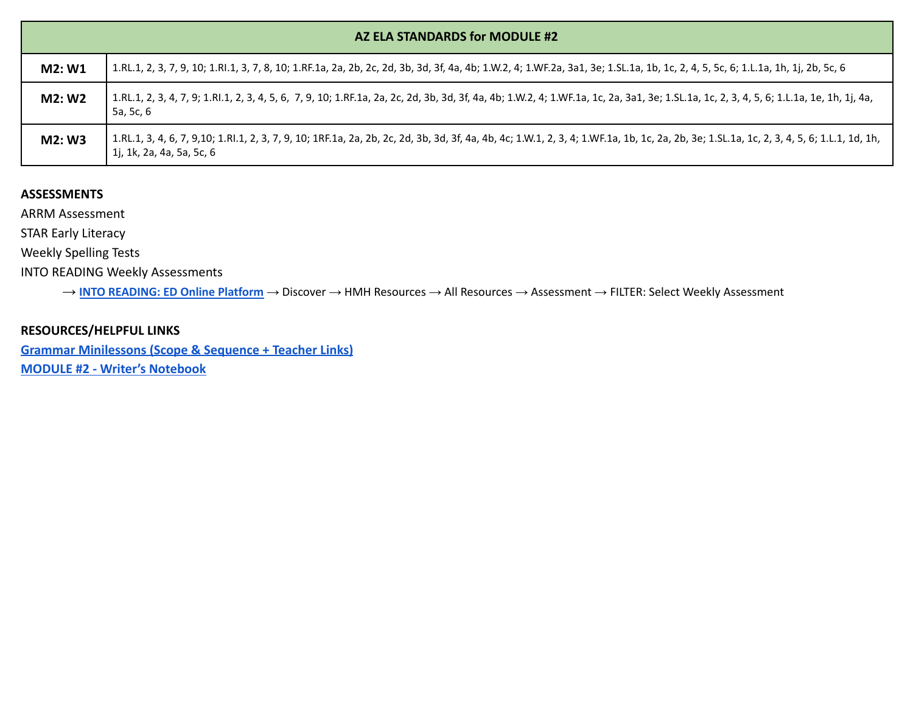|        | AZ ELA STANDARDS for MODULE #2                                                                                                                                                                                         |  |  |  |  |
|--------|------------------------------------------------------------------------------------------------------------------------------------------------------------------------------------------------------------------------|--|--|--|--|
| M2: W1 | 1.RL.1, 2, 3, 7, 9, 10; 1.Rl.1, 3, 7, 8, 10; 1.RF.1a, 2a, 2b, 2c, 2d, 3b, 3d, 3f, 4a, 4b; 1.W.2, 4; 1.WF.2a, 3a1, 3e; 1.SL.1a, 1b, 1c, 2, 4, 5, 5c, 6; 1.L.1a, 1h, 1j, 2b, 5c, 6                                       |  |  |  |  |
| M2: W2 | 1.RL.1, 2, 3, 4, 7, 9; 1.Rl.1, 2, 3, 4, 5, 6, 7, 9, 10; 1.RF.1a, 2a, 2c, 2d, 3b, 3d, 3f, 4a, 4b; 1.W.2, 4; 1.WF.1a, 1c, 2a, 3a1, 3e; 1.SL.1a, 1c, 2, 3, 4, 5, 6; 1.L.1a, 1e, 1h, 1j, 4a,<br>5a, 5c, 6                  |  |  |  |  |
| M2: W3 | 1.RL.1, 3, 4, 6, 7, 9,10; 1.Rl.1, 2, 3, 7, 9, 10; 1RF.1a, 2a, 2b, 2c, 2d, 3b, 3d, 3f, 4a, 4b, 4c; 1.W.1, 2, 3, 4; 1.WF.1a, 1b, 1c, 2a, 2b, 3e; 1.SL.1a, 1c, 2, 3, 4, 5, 6; 1.L.1, 1d, 1h,<br>1j, 1k, 2a, 4a, 5a, 5c, 6 |  |  |  |  |

ARRM Assessment

STAR Early Literacy

Weekly Spelling Tests

INTO READING Weekly Assessments

→ **INTO [READING:](https://www.hmhco.com/ui/login/?state=https%3A%2F%2Fwww.hmhco.com%2Fone%2F%23%2F) ED Online Platform** → Discover → HMH Resources → All Resources → Assessment → FILTER: Select Weekly Assessment

### **RESOURCES/HELPFUL LINKS**

**[Grammar Minilessons \(Scope & Sequence + Teacher Links\)](https://www.hmhco.com/content/reading/into_reading/g1/teacher/epub/hmh_ir1na_egtggss_teacher/#cards--1re_gtg_na_gss_01/)**

**[MODULE #2 - Writer's Notebook](https://www.hmhco.com/content/reading/into_reading/g1/teacher/pdf/1re_wnb_wr_02_descessay.pdf?custom_correlation_id=2ab0c082-ebd5-11eb-95c9-110b745ca72c#page=6)**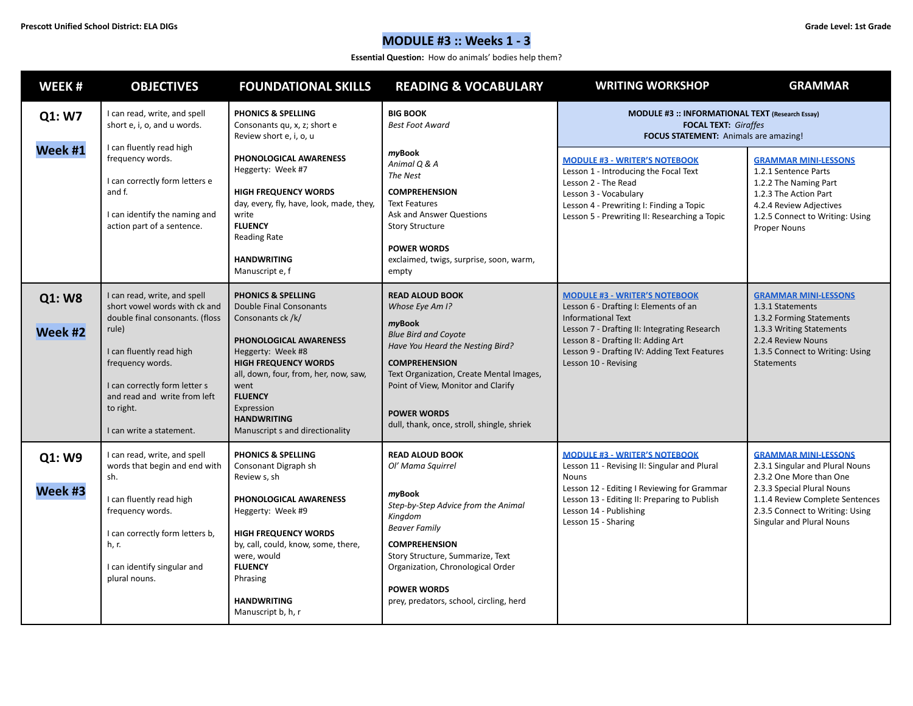# **MODULE #3 :: Weeks 1 - 3**

**Essential Question:** How do animals' bodies help them?

| WEEK#             | <b>OBJECTIVES</b>                                                                                                                                                                                                                                                   | <b>FOUNDATIONAL SKILLS</b>                                                                                                                                                                                                                                                                                   | <b>READING &amp; VOCABULARY</b>                                                                                                                                                                                                                                                                      | <b>WRITING WORKSHOP</b>                                                                                                                                                                                                                                                  | <b>GRAMMAR</b>                                                                                                                                                                                                             |  |
|-------------------|---------------------------------------------------------------------------------------------------------------------------------------------------------------------------------------------------------------------------------------------------------------------|--------------------------------------------------------------------------------------------------------------------------------------------------------------------------------------------------------------------------------------------------------------------------------------------------------------|------------------------------------------------------------------------------------------------------------------------------------------------------------------------------------------------------------------------------------------------------------------------------------------------------|--------------------------------------------------------------------------------------------------------------------------------------------------------------------------------------------------------------------------------------------------------------------------|----------------------------------------------------------------------------------------------------------------------------------------------------------------------------------------------------------------------------|--|
| Q1: W7            | I can read, write, and spell<br>short e, i, o, and u words.                                                                                                                                                                                                         | <b>PHONICS &amp; SPELLING</b><br>Consonants qu, x, z; short e<br>Review short e, i, o, u                                                                                                                                                                                                                     | <b>BIG BOOK</b><br><b>Best Foot Award</b>                                                                                                                                                                                                                                                            | MODULE #3 :: INFORMATIONAL TEXT (Research Essay)<br><b>FOCAL TEXT: Giraffes</b><br><b>FOCUS STATEMENT:</b> Animals are amazing!                                                                                                                                          |                                                                                                                                                                                                                            |  |
| Week #1           | I can fluently read high<br>frequency words.<br>I can correctly form letters e<br>and f.<br>I can identify the naming and<br>action part of a sentence.                                                                                                             | PHONOLOGICAL AWARENESS<br>Heggerty: Week #7<br><b>HIGH FREQUENCY WORDS</b><br>day, every, fly, have, look, made, they,<br>write<br><b>FLUENCY</b><br>Reading Rate<br><b>HANDWRITING</b><br>Manuscript e, f                                                                                                   | myBook<br>Animal Q & A<br>The Nest<br><b>COMPREHENSION</b><br><b>Text Features</b><br>Ask and Answer Questions<br><b>Story Structure</b><br><b>POWER WORDS</b><br>exclaimed, twigs, surprise, soon, warm,<br>empty                                                                                   | <b>MODULE #3 - WRITER'S NOTEBOOK</b><br>Lesson 1 - Introducing the Focal Text<br>Lesson 2 - The Read<br>Lesson 3 - Vocabulary<br>Lesson 4 - Prewriting I: Finding a Topic<br>Lesson 5 - Prewriting II: Researching a Topic                                               | <b>GRAMMAR MINI-LESSONS</b><br>1.2.1 Sentence Parts<br>1.2.2 The Naming Part<br>1.2.3 The Action Part<br>4.2.4 Review Adjectives<br>1.2.5 Connect to Writing: Using<br>Proper Nouns                                        |  |
| Q1: W8<br>Week #2 | I can read, write, and spell<br>short vowel words with ck and<br>double final consonants. (floss<br>rule)<br>I can fluently read high<br>frequency words.<br>I can correctly form letter s<br>and read and write from left<br>to right.<br>I can write a statement. | <b>PHONICS &amp; SPELLING</b><br><b>Double Final Consonants</b><br>Consonants ck /k/<br>PHONOLOGICAL AWARENESS<br>Heggerty: Week #8<br><b>HIGH FREQUENCY WORDS</b><br>all, down, four, from, her, now, saw,<br>went<br><b>FLUENCY</b><br>Expression<br><b>HANDWRITING</b><br>Manuscript s and directionality | <b>READ ALOUD BOOK</b><br>Whose Eye Am I?<br>myBook<br><b>Blue Bird and Coyote</b><br>Have You Heard the Nesting Bird?<br><b>COMPREHENSION</b><br>Text Organization, Create Mental Images,<br>Point of View, Monitor and Clarify<br><b>POWER WORDS</b><br>dull, thank, once, stroll, shingle, shriek | <b>MODULE #3 - WRITER'S NOTEBOOK</b><br>Lesson 6 - Drafting I: Elements of an<br><b>Informational Text</b><br>Lesson 7 - Drafting II: Integrating Research<br>Lesson 8 - Drafting II: Adding Art<br>Lesson 9 - Drafting IV: Adding Text Features<br>Lesson 10 - Revising | <b>GRAMMAR MINI-LESSONS</b><br>1.3.1 Statements<br>1.3.2 Forming Statements<br>1.3.3 Writing Statements<br>2.2.4 Review Nouns<br>1.3.5 Connect to Writing: Using<br><b>Statements</b>                                      |  |
| Q1: W9<br>Week #3 | I can read, write, and spell<br>words that begin and end with<br>sh.<br>I can fluently read high<br>frequency words.<br>I can correctly form letters b,<br>h, r.<br>I can identify singular and<br>plural nouns.                                                    | <b>PHONICS &amp; SPELLING</b><br>Consonant Digraph sh<br>Review s, sh<br>PHONOLOGICAL AWARENESS<br>Heggerty: Week #9<br><b>HIGH FREQUENCY WORDS</b><br>by, call, could, know, some, there,<br>were, would<br><b>FLUENCY</b><br>Phrasing<br><b>HANDWRITING</b><br>Manuscript b, h, r                          | <b>READ ALOUD BOOK</b><br>Ol' Mama Squirrel<br>myBook<br>Step-by-Step Advice from the Animal<br>Kingdom<br><b>Beaver Family</b><br><b>COMPREHENSION</b><br>Story Structure, Summarize, Text<br>Organization, Chronological Order<br><b>POWER WORDS</b><br>prey, predators, school, circling, herd    | <b>MODULE #3 - WRITER'S NOTEBOOK</b><br>Lesson 11 - Revising II: Singular and Plural<br>Nouns<br>Lesson 12 - Editing I Reviewing for Grammar<br>Lesson 13 - Editing II: Preparing to Publish<br>Lesson 14 - Publishing<br>Lesson 15 - Sharing                            | <b>GRAMMAR MINI-LESSONS</b><br>2.3.1 Singular and Plural Nouns<br>2.3.2 One More than One<br>2.3.3 Special Plural Nouns<br>1.1.4 Review Complete Sentences<br>2.3.5 Connect to Writing: Using<br>Singular and Plural Nouns |  |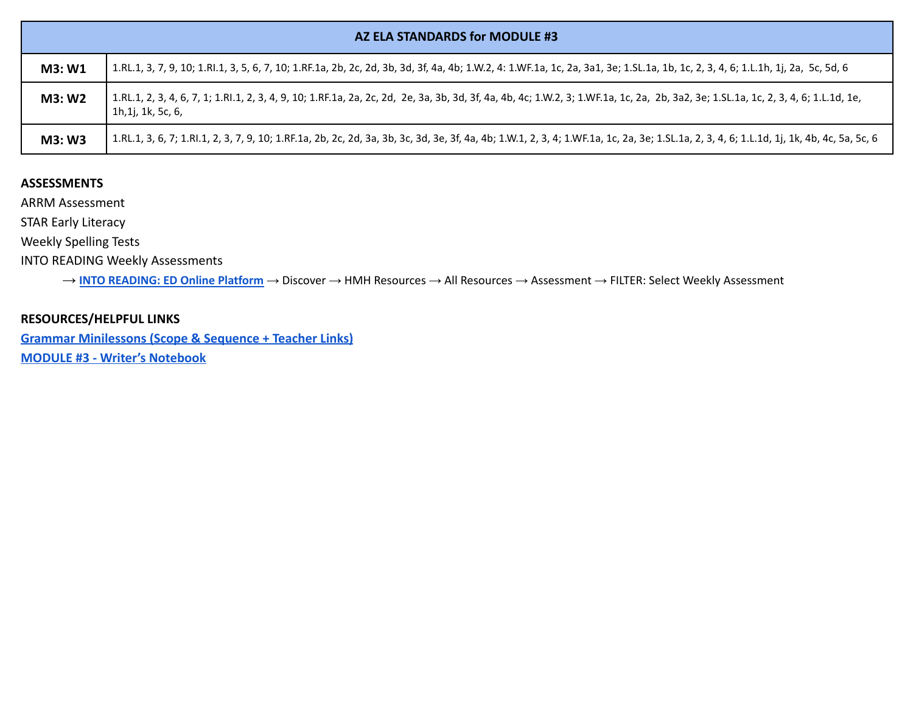|        | AZ ELA STANDARDS for MODULE #3                                                                                                                                                                                                 |  |  |  |
|--------|--------------------------------------------------------------------------------------------------------------------------------------------------------------------------------------------------------------------------------|--|--|--|
| M3: W1 | 1.RL.1, 3, 7, 9, 10; 1.Rl.1, 3, 5, 6, 7, 10; 1.RF.1a, 2b, 2c, 2d, 3b, 3d, 3f, 4a, 4b; 1.W.2, 4: 1.WF.1a, 1c, 2a, 3a1, 3e; 1.SL.1a, 1b, 1c, 2, 3, 4, 6; 1.L.1h, 1j, 2a, 5c, 5d, 6   1.Rl.1, 3, 5, 6, 7, 10; 1.RF.1a, 2b, 2c, 3d |  |  |  |
| M3: W2 | 1.RL.1, 2, 3, 4, 6, 7, 1; 1.Rl.1, 2, 3, 4, 9, 10; 1.RF.1a, 2a, 2c, 2d, 2e, 3a, 3b, 3d, 3f, 4a, 4b, 4c; 1.W.2, 3; 1.WF.1a, 1c, 2a, 2b, 3a2, 3e; 1.SL.1a, 1c, 2, 3, 4, 6; 1.L.1d, 1e,<br>1h,1j, 1k, 5c, 6,                       |  |  |  |
| M3: W3 | 1.RL.1, 3, 6, 7; 1.Rl.1, 2, 3, 7, 9, 10; 1.RF.1a, 2b, 2c, 2d, 3a, 3b, 3c, 3d, 3e, 3f, 4a, 4b; 1.W.1, 2, 3, 4; 1.WF.1a, 1c, 2a, 3e; 1.SL.1a, 2, 3, 4, 6; 1.L.1d, 1j, 1k, 4b, 4c, 5a, 5c, 6                                      |  |  |  |

ARRM Assessment

STAR Early Literacy

Weekly Spelling Tests

INTO READING Weekly Assessments

→ **INTO [READING:](https://www.hmhco.com/ui/login/?state=https%3A%2F%2Fwww.hmhco.com%2Fone%2F%23%2F) ED Online Platform** → Discover → HMH Resources → All Resources → Assessment → FILTER: Select Weekly Assessment

# **RESOURCES/HELPFUL LINKS**

**[Grammar Minilessons \(Scope & Sequence + Teacher Links\)](https://www.hmhco.com/content/reading/into_reading/g1/teacher/epub/hmh_ir1na_egtggss_teacher/#cards--1re_gtg_na_gss_01/)**

**[MODULE #3 - Writer's Notebook](https://www.hmhco.com/content/reading/into_reading/g1/teacher/pdf/1re_wnb_wr_03_resesarchessay.pdf?custom_correlation_id=5ce86ee5-ebd5-11eb-90b0-c1c235a67d19#page=7)**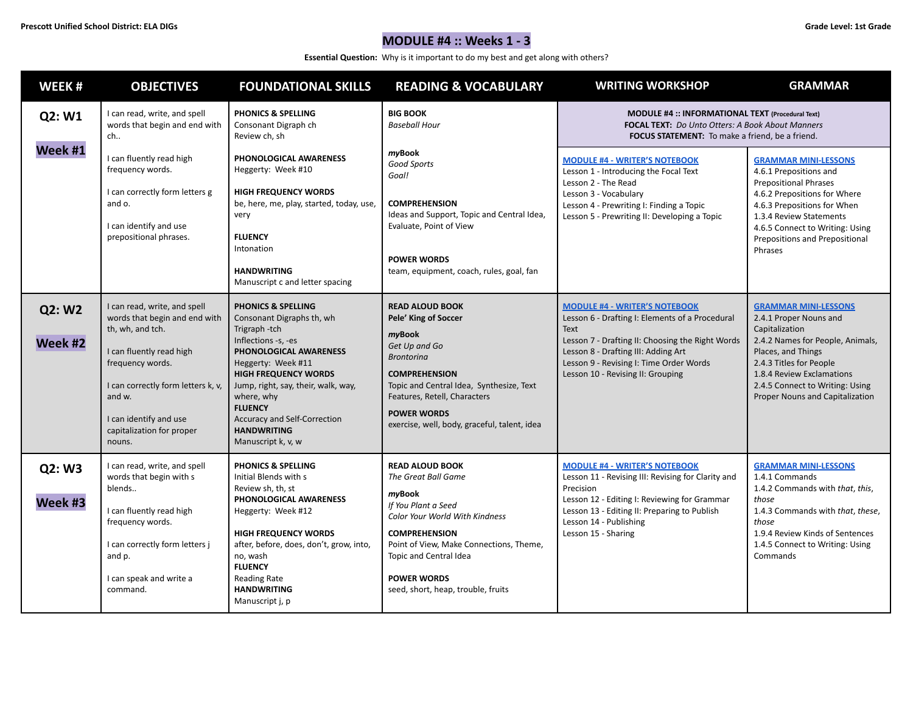**Essential Question:** Why is it important to do my best and get along with others?

| WEEK#             | <b>OBJECTIVES</b>                                                                                                                                                                                                                                  | <b>FOUNDATIONAL SKILLS</b>                                                                                                                                                                                                                                                                                                          | <b>READING &amp; VOCABULARY</b>                                                                                                                                                                                                                                           | <b>WRITING WORKSHOP</b>                                                                                                                                                                                                                                                    | <b>GRAMMAR</b>                                                                                                                                                                                                                                                  |
|-------------------|----------------------------------------------------------------------------------------------------------------------------------------------------------------------------------------------------------------------------------------------------|-------------------------------------------------------------------------------------------------------------------------------------------------------------------------------------------------------------------------------------------------------------------------------------------------------------------------------------|---------------------------------------------------------------------------------------------------------------------------------------------------------------------------------------------------------------------------------------------------------------------------|----------------------------------------------------------------------------------------------------------------------------------------------------------------------------------------------------------------------------------------------------------------------------|-----------------------------------------------------------------------------------------------------------------------------------------------------------------------------------------------------------------------------------------------------------------|
| Q2: W1            | I can read, write, and spell<br>words that begin and end with<br>ch                                                                                                                                                                                | PHONICS & SPELLING<br>Consonant Digraph ch<br>Review ch, sh                                                                                                                                                                                                                                                                         | <b>BIG BOOK</b><br><b>Baseball Hour</b>                                                                                                                                                                                                                                   | MODULE #4 :: INFORMATIONAL TEXT (Procedural Text)<br><b>FOCAL TEXT:</b> Do Unto Otters: A Book About Manners<br><b>FOCUS STATEMENT:</b> To make a friend, be a friend.                                                                                                     |                                                                                                                                                                                                                                                                 |
| Week #1           | I can fluently read high<br>frequency words.<br>I can correctly form letters g<br>and o.<br>I can identify and use<br>prepositional phrases.                                                                                                       | PHONOLOGICAL AWARENESS<br>Heggerty: Week #10<br><b>HIGH FREQUENCY WORDS</b><br>be, here, me, play, started, today, use,<br>very<br><b>FLUENCY</b><br>Intonation<br><b>HANDWRITING</b><br>Manuscript c and letter spacing                                                                                                            | myBook<br>Good Sports<br>Goal!<br><b>COMPREHENSION</b><br>Ideas and Support, Topic and Central Idea,<br>Evaluate, Point of View<br><b>POWER WORDS</b><br>team, equipment, coach, rules, goal, fan                                                                         | <b>MODULE #4 - WRITER'S NOTEBOOK</b><br>Lesson 1 - Introducing the Focal Text<br>Lesson 2 - The Read<br>Lesson 3 - Vocabulary<br>Lesson 4 - Prewriting I: Finding a Topic<br>Lesson 5 - Prewriting II: Developing a Topic                                                  | <b>GRAMMAR MINI-LESSONS</b><br>4.6.1 Prepositions and<br><b>Prepositional Phrases</b><br>4.6.2 Prepositions for Where<br>4.6.3 Prepositions for When<br>1.3.4 Review Statements<br>4.6.5 Connect to Writing: Using<br>Prepositions and Prepositional<br>Phrases |
| Q2: W2<br>Week #2 | I can read, write, and spell<br>words that begin and end with<br>th, wh, and tch.<br>I can fluently read high<br>frequency words.<br>I can correctly form letters k, v,<br>and w.<br>I can identify and use<br>capitalization for proper<br>nouns. | <b>PHONICS &amp; SPELLING</b><br>Consonant Digraphs th, wh<br>Trigraph-tch<br>Inflections -s, -es<br>PHONOLOGICAL AWARENESS<br>Heggerty: Week #11<br><b>HIGH FREQUENCY WORDS</b><br>Jump, right, say, their, walk, way,<br>where, why<br><b>FLUENCY</b><br>Accuracy and Self-Correction<br><b>HANDWRITING</b><br>Manuscript k, v, w | <b>READ ALOUD BOOK</b><br>Pele' King of Soccer<br>myBook<br>Get Up and Go<br><b>Brontorina</b><br><b>COMPREHENSION</b><br>Topic and Central Idea, Synthesize, Text<br>Features, Retell, Characters<br><b>POWER WORDS</b><br>exercise, well, body, graceful, talent, idea  | <b>MODULE #4 - WRITER'S NOTEBOOK</b><br>Lesson 6 - Drafting I: Elements of a Procedural<br>Text<br>Lesson 7 - Drafting II: Choosing the Right Words<br>Lesson 8 - Drafting III: Adding Art<br>Lesson 9 - Revising I: Time Order Words<br>Lesson 10 - Revising II: Grouping | <b>GRAMMAR MINI-LESSONS</b><br>2.4.1 Proper Nouns and<br>Capitalization<br>2.4.2 Names for People, Animals,<br>Places, and Things<br>2.4.3 Titles for People<br>1.8.4 Review Exclamations<br>2.4.5 Connect to Writing: Using<br>Proper Nouns and Capitalization |
| Q2: W3<br>Week #3 | I can read, write, and spell<br>words that begin with s<br>blends<br>I can fluently read high<br>frequency words.<br>I can correctly form letters j<br>and p.<br>I can speak and write a<br>command.                                               | <b>PHONICS &amp; SPELLING</b><br>Initial Blends with s<br>Review sh, th, st<br>PHONOLOGICAL AWARENESS<br>Heggerty: Week #12<br><b>HIGH FREQUENCY WORDS</b><br>after, before, does, don't, grow, into,<br>no, wash<br><b>FLUENCY</b><br>Reading Rate<br><b>HANDWRITING</b><br>Manuscript j, p                                        | <b>READ ALOUD BOOK</b><br>The Great Ball Game<br>myBook<br>If You Plant a Seed<br>Color Your World With Kindness<br><b>COMPREHENSION</b><br>Point of View, Make Connections, Theme,<br>Topic and Central Idea<br><b>POWER WORDS</b><br>seed, short, heap, trouble, fruits | <b>MODULE #4 - WRITER'S NOTEBOOK</b><br>Lesson 11 - Revising III: Revising for Clarity and<br>Precision<br>Lesson 12 - Editing I: Reviewing for Grammar<br>Lesson 13 - Editing II: Preparing to Publish<br>Lesson 14 - Publishing<br>Lesson 15 - Sharing                   | <b>GRAMMAR MINI-LESSONS</b><br>1.4.1 Commands<br>1.4.2 Commands with that, this,<br>those<br>1.4.3 Commands with that, these,<br>those<br>1.9.4 Review Kinds of Sentences<br>1.4.5 Connect to Writing: Using<br>Commands                                        |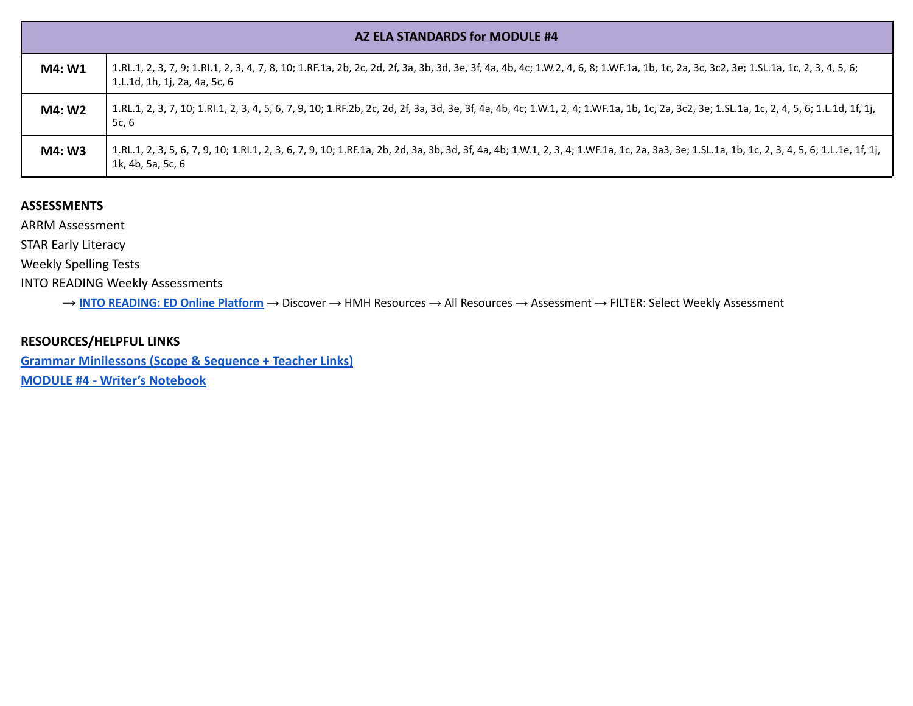|        | AZ ELA STANDARDS for MODULE #4                                                                                                                                                                                         |
|--------|------------------------------------------------------------------------------------------------------------------------------------------------------------------------------------------------------------------------|
| M4: W1 | 1.RL.1, 2, 3, 7, 9; 1.Rl.1, 2, 3, 4, 7, 8, 10; 1.RF.1a, 2b, 2c, 2d, 2f, 3a, 3b, 3d, 3e, 3f, 4a, 4b, 4c; 1.W.2, 4, 6, 8; 1.WF.1a, 1b, 1c, 2a, 3c, 3c2, 3e; 1.SL.1a, 1c, 2, 3, 4, 5, 6;<br>1.L.1d, 1h, 1j, 2a, 4a, 5c, 6 |
| M4: W2 | 1.RL.1, 2, 3, 7, 10; 1.Rl.1, 2, 3, 4, 5, 6, 7, 9, 10; 1.RF.2b, 2c, 2d, 2f, 3a, 3d, 3e, 3f, 4a, 4b, 4c; 1.W.1, 2, 4; 1.WF.1a, 1b, 1c, 2a, 3c2, 3e; 1.SL.1a, 1c, 2, 4, 5, 6; 1.L.1d, 1f, 1j,<br>5c, 6                    |
| M4: W3 | 1.RL.1, 2, 3, 5, 6, 7, 9, 10; 1.Rl.1, 2, 3, 6, 7, 9, 10; 1.RF.1a, 2b, 2d, 3a, 3b, 3d, 3f, 4a, 4b; 1.W.1, 2, 3, 4; 1.WF.1a, 1c, 2a, 3a3, 3e; 1.SL.1a, 1b, 1c, 2, 3, 4, 5, 6; 1.L.1e, 1f, 1j,<br>1k, 4b, 5a, 5c, 6       |

ARRM Assessment

STAR Early Literacy

Weekly Spelling Tests

INTO READING Weekly Assessments

→ **INTO [READING:](https://www.hmhco.com/ui/login/?state=https%3A%2F%2Fwww.hmhco.com%2Fone%2F%23%2F) ED Online Platform** → Discover → HMH Resources → All Resources → Assessment → FILTER: Select Weekly Assessment

# **RESOURCES/HELPFUL LINKS**

**[Grammar Minilessons \(Scope & Sequence + Teacher Links\)](https://www.hmhco.com/content/reading/into_reading/g1/teacher/epub/hmh_ir1na_egtggss_teacher/#cards--1re_gtg_na_gss_01/) [MODULE #4 - Writer's Notebook](https://www.hmhco.com/content/reading/into_reading/g1/teacher/pdf/1re_wnb_wr_04_proctext.pdf?custom_correlation_id=1f528622-ebd7-11eb-8dae-152bc56d371a#page=1)**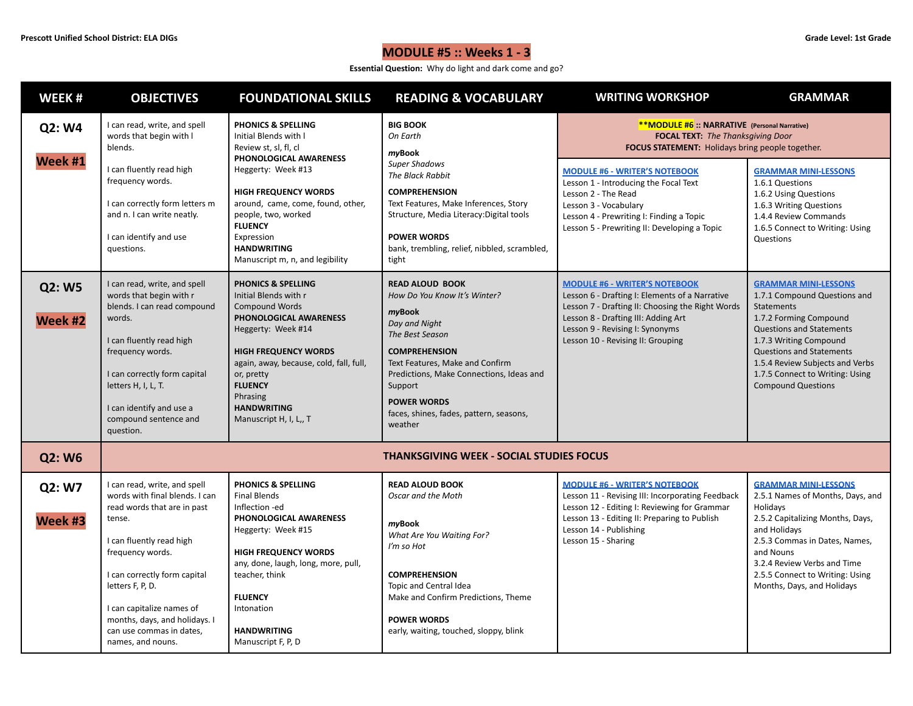# **MODULE #5 :: Weeks 1 - 3**

**Essential Question:** Why do light and dark come and go?

| WEEK#             | <b>OBJECTIVES</b>                                                                                                                                                                                                                                                                                                          | <b>FOUNDATIONAL SKILLS</b>                                                                                                                                                                                                                                                                                          | <b>READING &amp; VOCABULARY</b>                                                                                                                                                                                                                                                                    | <b>WRITING WORKSHOP</b>                                                                                                                                                                                                                                                                                                                                                    | <b>GRAMMAR</b>                                                                                                                                                                                                                                                                                                |
|-------------------|----------------------------------------------------------------------------------------------------------------------------------------------------------------------------------------------------------------------------------------------------------------------------------------------------------------------------|---------------------------------------------------------------------------------------------------------------------------------------------------------------------------------------------------------------------------------------------------------------------------------------------------------------------|----------------------------------------------------------------------------------------------------------------------------------------------------------------------------------------------------------------------------------------------------------------------------------------------------|----------------------------------------------------------------------------------------------------------------------------------------------------------------------------------------------------------------------------------------------------------------------------------------------------------------------------------------------------------------------------|---------------------------------------------------------------------------------------------------------------------------------------------------------------------------------------------------------------------------------------------------------------------------------------------------------------|
| Q2: W4<br>Week #1 | I can read, write, and spell<br>words that begin with I<br>blends.<br>I can fluently read high<br>frequency words.<br>I can correctly form letters m<br>and n. I can write neatly.<br>I can identify and use<br>questions.                                                                                                 | <b>PHONICS &amp; SPELLING</b><br>Initial Blends with I<br>Review st, sl, fl, cl<br>PHONOLOGICAL AWARENESS<br>Heggerty: Week #13<br><b>HIGH FREQUENCY WORDS</b><br>around, came, come, found, other,<br>people, two, worked<br><b>FLUENCY</b><br>Expression<br><b>HANDWRITING</b><br>Manuscript m, n, and legibility | <b>BIG BOOK</b><br>On Earth<br>myBook<br><b>Super Shadows</b><br>The Black Rabbit<br><b>COMPREHENSION</b><br>Text Features, Make Inferences, Story<br>Structure, Media Literacy: Digital tools<br><b>POWER WORDS</b><br>bank, trembling, relief, nibbled, scrambled,<br>tight                      | **MODULE #6 :: NARRATIVE (Personal Narrative)<br><b>FOCAL TEXT:</b> The Thanksgiving Door<br>FOCUS STATEMENT: Holidays bring people together.<br><b>MODULE #6 - WRITER'S NOTEBOOK</b><br>Lesson 1 - Introducing the Focal Text<br>Lesson 2 - The Read<br>Lesson 3 - Vocabulary<br>Lesson 4 - Prewriting I: Finding a Topic<br>Lesson 5 - Prewriting II: Developing a Topic | <b>GRAMMAR MINI-LESSONS</b><br>1.6.1 Questions<br>1.6.2 Using Questions<br>1.6.3 Writing Questions<br>1.4.4 Review Commands<br>1.6.5 Connect to Writing: Using<br>Questions                                                                                                                                   |
| Q2: W5<br>Week #2 | I can read, write, and spell<br>words that begin with r<br>blends. I can read compound<br>words.<br>I can fluently read high<br>frequency words.<br>I can correctly form capital<br>letters H, I, L, T.<br>I can identify and use a<br>compound sentence and<br>question.                                                  | <b>PHONICS &amp; SPELLING</b><br>Initial Blends with r<br><b>Compound Words</b><br>PHONOLOGICAL AWARENESS<br>Heggerty: Week #14<br><b>HIGH FREQUENCY WORDS</b><br>again, away, because, cold, fall, full,<br>or, pretty<br><b>FLUENCY</b><br>Phrasing<br><b>HANDWRITING</b><br>Manuscript H, I, L,, T               | <b>READ ALOUD BOOK</b><br>How Do You Know It's Winter?<br>myBook<br>Day and Night<br>The Best Season<br><b>COMPREHENSION</b><br>Text Features, Make and Confirm<br>Predictions, Make Connections, Ideas and<br>Support<br><b>POWER WORDS</b><br>faces, shines, fades, pattern, seasons,<br>weather | <b>MODULE #6 - WRITER'S NOTEBOOK</b><br>Lesson 6 - Drafting I: Elements of a Narrative<br>Lesson 7 - Drafting II: Choosing the Right Words<br>Lesson 8 - Drafting III: Adding Art<br>Lesson 9 - Revising I: Synonyms<br>Lesson 10 - Revising II: Grouping                                                                                                                  | <b>GRAMMAR MINI-LESSONS</b><br>1.7.1 Compound Questions and<br><b>Statements</b><br>1.7.2 Forming Compound<br><b>Questions and Statements</b><br>1.7.3 Writing Compound<br><b>Questions and Statements</b><br>1.5.4 Review Subjects and Verbs<br>1.7.5 Connect to Writing: Using<br><b>Compound Questions</b> |
| Q2: W6            |                                                                                                                                                                                                                                                                                                                            |                                                                                                                                                                                                                                                                                                                     | <b>THANKSGIVING WEEK - SOCIAL STUDIES FOCUS</b>                                                                                                                                                                                                                                                    |                                                                                                                                                                                                                                                                                                                                                                            |                                                                                                                                                                                                                                                                                                               |
| Q2: W7<br>Week #3 | I can read, write, and spell<br>words with final blends. I can<br>read words that are in past<br>tense.<br>I can fluently read high<br>frequency words.<br>I can correctly form capital<br>letters F, P, D.<br>I can capitalize names of<br>months, days, and holidays. I<br>can use commas in dates,<br>names, and nouns. | <b>PHONICS &amp; SPELLING</b><br><b>Final Blends</b><br>Inflection -ed<br>PHONOLOGICAL AWARENESS<br>Heggerty: Week #15<br><b>HIGH FREQUENCY WORDS</b><br>any, done, laugh, long, more, pull,<br>teacher, think<br><b>FLUENCY</b><br>Intonation<br><b>HANDWRITING</b><br>Manuscript F, P, D                          | <b>READ ALOUD BOOK</b><br>Oscar and the Moth<br>myBook<br>What Are You Waiting For?<br>I'm so Hot<br><b>COMPREHENSION</b><br>Topic and Central Idea<br>Make and Confirm Predictions, Theme<br><b>POWER WORDS</b><br>early, waiting, touched, sloppy, blink                                         | <b>MODULE #6 - WRITER'S NOTEBOOK</b><br>Lesson 11 - Revising III: Incorporating Feedback<br>Lesson 12 - Editing I: Reviewing for Grammar<br>Lesson 13 - Editing II: Preparing to Publish<br>Lesson 14 - Publishing<br>Lesson 15 - Sharing                                                                                                                                  | <b>GRAMMAR MINI-LESSONS</b><br>2.5.1 Names of Months, Days, and<br>Holidays<br>2.5.2 Capitalizing Months, Days,<br>and Holidays<br>2.5.3 Commas in Dates, Names,<br>and Nouns<br>3.2.4 Review Verbs and Time<br>2.5.5 Connect to Writing: Using<br>Months, Days, and Holidays                                 |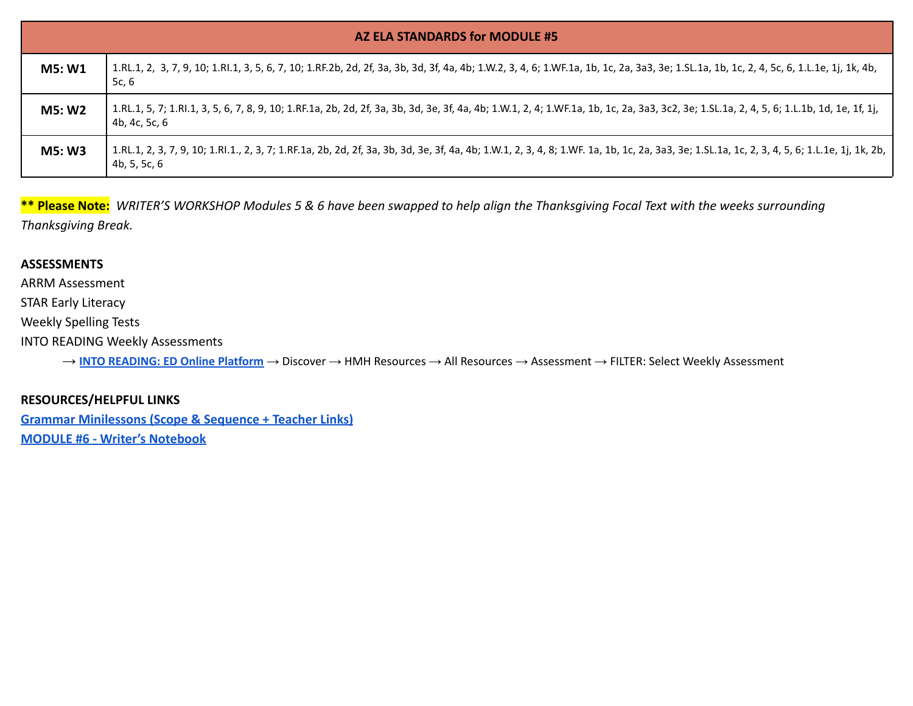|               | AZ ELA STANDARDS for MODULE #5                                                                                                                                                                               |  |  |  |  |
|---------------|--------------------------------------------------------------------------------------------------------------------------------------------------------------------------------------------------------------|--|--|--|--|
| <b>M5: W1</b> | 1.RL.1, 2, 3, 7, 9, 10; 1.Rl.1, 3, 5, 6, 7, 10; 1.RF.2b, 2d, 2f, 3a, 3b, 3d, 3f, 4a, 4b; 1.W.2, 3, 4, 6; 1.WF.1a, 1b, 1c, 2a, 3a3, 3e; 1.SL.1a, 1b, 1c, 2, 4, 5c, 6, 1.L.1e, 1j, 1k, 4b,<br>5c, 6            |  |  |  |  |
| M5: W2        | 1.RL.1, 5, 7; 1.Rl.1, 3, 5, 6, 7, 8, 9, 10; 1.RF.1a, 2b, 2d, 2f, 3a, 3b, 3d, 3e, 3f, 4a, 4b; 1.W.1, 2, 4; 1.WF.1a, 1b, 1c, 2a, 3a3, 3c2, 3e; 1.SL.1a, 2, 4, 5, 6; 1.L.1b, 1d, 1e, 1f, 1j,<br>4b, 4c, 5c, 6   |  |  |  |  |
| <b>M5: W3</b> | 1.RL.1, 2, 3, 7, 9, 10; 1.Rl.1., 2, 3, 7; 1.RF.1a, 2b, 2d, 2f, 3a, 3b, 3d, 3e, 3f, 4a, 4b; 1.W.1, 2, 3, 4, 8; 1.WF. 1a, 1b, 1c, 2a, 3a3, 3e; 1.SL.1a, 1c, 2, 3, 4, 5, 6; 1.L.1e, 1j, 1k, 2b,<br>4b, 5, 5c, 6 |  |  |  |  |

**\*\* Please Note:** *WRITER'S WORKSHOP Modules 5 & 6 have been swapped to help align the Thanksgiving Focal Text with the weeks surrounding Thanksgiving Break.*

#### **ASSESSMENTS**

ARRM Assessment

STAR Early Literacy

Weekly Spelling Tests

INTO READING Weekly Assessments

→ **INTO [READING:](https://www.hmhco.com/ui/login/?state=https%3A%2F%2Fwww.hmhco.com%2Fone%2F%23%2F) ED Online Platform** → Discover → HMH Resources → All Resources → Assessment → FILTER: Select Weekly Assessment

### **RESOURCES/HELPFUL LINKS**

**[Grammar Minilessons \(Scope & Sequence + Teacher Links\)](https://www.hmhco.com/content/reading/into_reading/g1/teacher/epub/hmh_ir1na_egtggss_teacher/#cards--1re_gtg_na_gss_01/) [MODULE #6 - Writer's Notebook](https://www.hmhco.com/content/reading/into_reading/g1/teacher/pdf/1re_wnb_wr_06_persnarr.pdf?custom_correlation_id=72230f2f-ebda-11eb-bac6-c588bd0ebe6c#page=1)**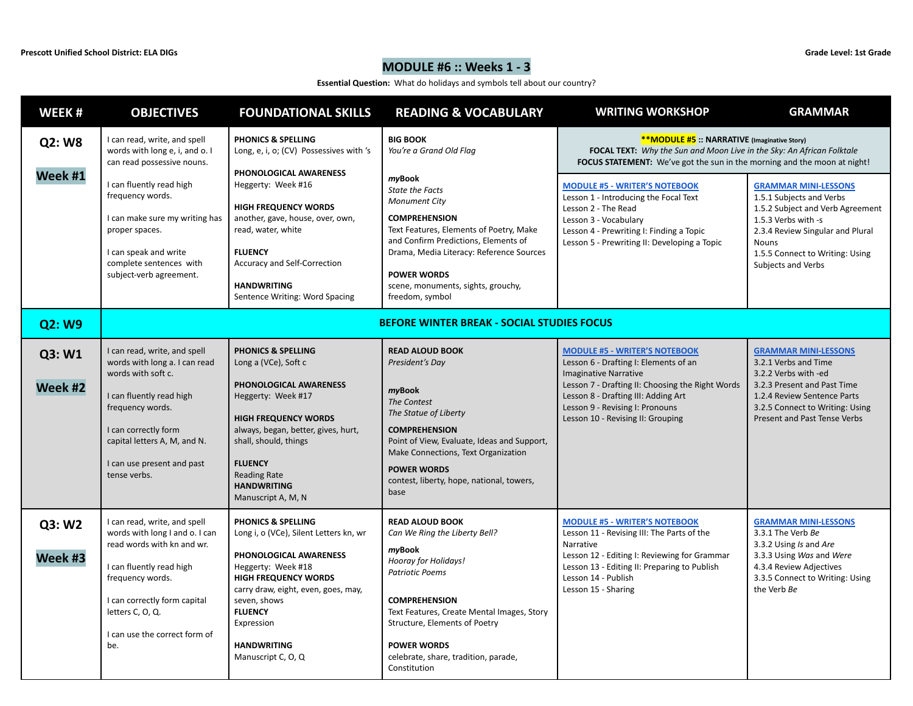# **MODULE #6 :: Weeks 1 - 3**

**Essential Question:** What do holidays and symbols tell about our country?

| WEEK#                    | <b>OBJECTIVES</b>                                                                                                                                                                                                                                                               | <b>FOUNDATIONAL SKILLS</b>                                                                                                                                                                                                                                                                                       | <b>READING &amp; VOCABULARY</b>                                                                                                                                                                                                                                                                                                              | <b>WRITING WORKSHOP</b>                                                                                                                                                                                                                                                                                                                                                                                                                      | <b>GRAMMAR</b>                                                                                                                                                                                                                  |
|--------------------------|---------------------------------------------------------------------------------------------------------------------------------------------------------------------------------------------------------------------------------------------------------------------------------|------------------------------------------------------------------------------------------------------------------------------------------------------------------------------------------------------------------------------------------------------------------------------------------------------------------|----------------------------------------------------------------------------------------------------------------------------------------------------------------------------------------------------------------------------------------------------------------------------------------------------------------------------------------------|----------------------------------------------------------------------------------------------------------------------------------------------------------------------------------------------------------------------------------------------------------------------------------------------------------------------------------------------------------------------------------------------------------------------------------------------|---------------------------------------------------------------------------------------------------------------------------------------------------------------------------------------------------------------------------------|
| <b>Q2: W8</b><br>Week #1 | I can read, write, and spell<br>words with long e, i, and o. I<br>can read possessive nouns.<br>I can fluently read high<br>frequency words.<br>I can make sure my writing has<br>proper spaces.<br>I can speak and write<br>complete sentences with<br>subject-verb agreement. | PHONICS & SPELLING<br>Long, e, i, o; (CV) Possessives with 's<br>PHONOLOGICAL AWARENESS<br>Heggerty: Week #16<br><b>HIGH FREQUENCY WORDS</b><br>another, gave, house, over, own,<br>read, water, white<br><b>FLUENCY</b><br>Accuracy and Self-Correction<br><b>HANDWRITING</b><br>Sentence Writing: Word Spacing | <b>BIG BOOK</b><br>You're a Grand Old Flag<br>myBook<br><b>State the Facts</b><br><b>Monument City</b><br><b>COMPREHENSION</b><br>Text Features, Elements of Poetry, Make<br>and Confirm Predictions, Elements of<br>Drama, Media Literacy: Reference Sources<br><b>POWER WORDS</b><br>scene, monuments, sights, grouchy,<br>freedom, symbol | <b>**MODULE #5</b> :: NARRATIVE (Imaginative Story)<br>FOCAL TEXT: Why the Sun and Moon Live in the Sky: An African Folktale<br><b>FOCUS STATEMENT:</b> We've got the sun in the morning and the moon at night!<br><b>MODULE #5 - WRITER'S NOTEBOOK</b><br>Lesson 1 - Introducing the Focal Text<br>Lesson 2 - The Read<br>Lesson 3 - Vocabulary<br>Lesson 4 - Prewriting I: Finding a Topic<br>Lesson 5 - Prewriting II: Developing a Topic | <b>GRAMMAR MINI-LESSONS</b><br>1.5.1 Subjects and Verbs<br>1.5.2 Subject and Verb Agreement<br>1.5.3 Verbs with -s<br>2.3.4 Review Singular and Plural<br><b>Nouns</b><br>1.5.5 Connect to Writing: Using<br>Subjects and Verbs |
| Q2: W9                   |                                                                                                                                                                                                                                                                                 |                                                                                                                                                                                                                                                                                                                  | <b>BEFORE WINTER BREAK - SOCIAL STUDIES FOCUS</b>                                                                                                                                                                                                                                                                                            |                                                                                                                                                                                                                                                                                                                                                                                                                                              |                                                                                                                                                                                                                                 |
| Q3: W1<br>Week #2        | I can read, write, and spell<br>words with long a. I can read<br>words with soft c.<br>I can fluently read high<br>frequency words.<br>I can correctly form<br>capital letters A, M, and N.<br>I can use present and past<br>tense verbs.                                       | <b>PHONICS &amp; SPELLING</b><br>Long a (VCe), Soft c<br>PHONOLOGICAL AWARENESS<br>Heggerty: Week #17<br><b>HIGH FREQUENCY WORDS</b><br>always, began, better, gives, hurt,<br>shall, should, things<br><b>FLUENCY</b><br><b>Reading Rate</b><br><b>HANDWRITING</b><br>Manuscript A, M, N                        | <b>READ ALOUD BOOK</b><br>President's Day<br>myBook<br>The Contest<br>The Statue of Liberty<br><b>COMPREHENSION</b><br>Point of View, Evaluate, Ideas and Support,<br>Make Connections, Text Organization<br><b>POWER WORDS</b><br>contest, liberty, hope, national, towers,<br>base                                                         | <b>MODULE #5 - WRITER'S NOTEBOOK</b><br>Lesson 6 - Drafting I: Elements of an<br><b>Imaginative Narrative</b><br>Lesson 7 - Drafting II: Choosing the Right Words<br>Lesson 8 - Drafting III: Adding Art<br>Lesson 9 - Revising I: Pronouns<br>Lesson 10 - Revising II: Grouping                                                                                                                                                             | <b>GRAMMAR MINI-LESSONS</b><br>3.2.1 Verbs and Time<br>3.2.2 Verbs with -ed<br>3.2.3 Present and Past Time<br>1.2.4 Review Sentence Parts<br>3.2.5 Connect to Writing: Using<br>Present and Past Tense Verbs                    |
| Q3: W2<br>Week #3        | I can read, write, and spell<br>words with long I and o. I can<br>read words with kn and wr.<br>I can fluently read high<br>frequency words.<br>I can correctly form capital<br>letters C, O, Q.<br>I can use the correct form of<br>be.                                        | <b>PHONICS &amp; SPELLING</b><br>Long i, o (VCe), Silent Letters kn, wr<br>PHONOLOGICAL AWARENESS<br>Heggerty: Week #18<br><b>HIGH FREQUENCY WORDS</b><br>carry draw, eight, even, goes, may,<br>seven, shows<br><b>FLUENCY</b><br>Expression<br><b>HANDWRITING</b><br>Manuscript C, O, Q                        | <b>READ ALOUD BOOK</b><br>Can We Ring the Liberty Bell?<br>myBook<br>Hooray for Holidays!<br><b>Patriotic Poems</b><br><b>COMPREHENSION</b><br>Text Features, Create Mental Images, Story<br>Structure, Elements of Poetry<br><b>POWER WORDS</b><br>celebrate, share, tradition, parade,<br>Constitution                                     | <b>MODULE #5 - WRITER'S NOTEBOOK</b><br>Lesson 11 - Revising III: The Parts of the<br>Narrative<br>Lesson 12 - Editing I: Reviewing for Grammar<br>Lesson 13 - Editing II: Preparing to Publish<br>Lesson 14 - Publish<br>Lesson 15 - Sharing                                                                                                                                                                                                | <b>GRAMMAR MINI-LESSONS</b><br>3.3.1 The Verb Be<br>3.3.2 Using Is and Are<br>3.3.3 Using Was and Were<br>4.3.4 Review Adjectives<br>3.3.5 Connect to Writing: Using<br>the Verb Be                                             |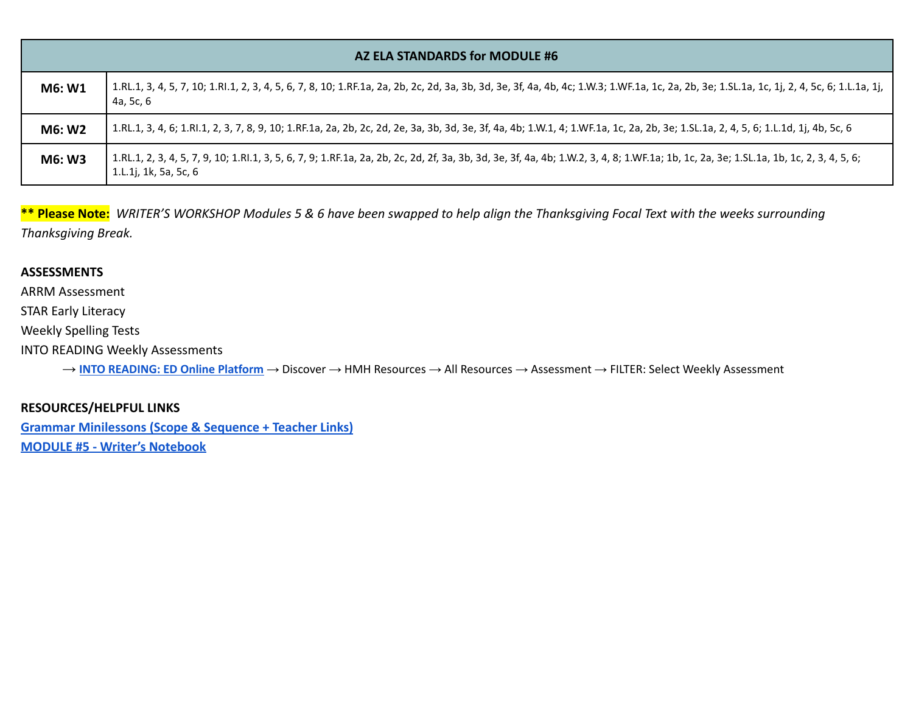|        | AZ ELA STANDARDS for MODULE #6                                                                                                                                                                                  |
|--------|-----------------------------------------------------------------------------------------------------------------------------------------------------------------------------------------------------------------|
| M6: W1 | 1.RL.1, 3, 4, 5, 7, 10; 1.Rl.1, 2, 3, 4, 5, 6, 7, 8, 10; 1.RF.1a, 2a, 2b, 2c, 2d, 3a, 3b, 3d, 3e, 3f, 4a, 4b, 4c; 1.W.3; 1.WF.1a, 1c, 2a, 2b, 3e; 1.SL.1a, 1c, 1j, 2, 4, 5c, 6; 1.L.1a, 1j,<br>4a, 5c, 6        |
| M6: W2 | 1.RL.1, 3, 4, 6; 1.Rl.1, 2, 3, 7, 8, 9, 10; 1.RF.1a, 2a, 2b, 2c, 2d, 2e, 3a, 3b, 3d, 3e, 3f, 4a, 4b; 1.W.1, 4; 1.WF.1a, 1c, 2a, 2b, 3e; 1.SL.1a, 2, 4, 5, 6; 1.L.1d, 1j, 4b, 5c, 6                              |
| M6: W3 | 1.RL.1, 2, 3, 4, 5, 7, 9, 10; 1.Rl.1, 3, 5, 6, 7, 9; 1.RF.1a, 2a, 2b, 2c, 2d, 2f, 3a, 3b, 3d, 3e, 3f, 4a, 4b; 1.W.2, 3, 4, 8; 1.WF.1a; 1b, 1c, 2a, 3e; 1.SL.1a, 1b, 1c, 2, 3, 4, 5, 6;<br>1.L.1j, 1k, 5a, 5c, 6 |

**\*\* Please Note:** *WRITER'S WORKSHOP Modules 5 & 6 have been swapped to help align the Thanksgiving Focal Text with the weeks surrounding Thanksgiving Break.*

#### **ASSESSMENTS**

ARRM Assessment

STAR Early Literacy

Weekly Spelling Tests

INTO READING Weekly Assessments

→ **INTO [READING:](https://www.hmhco.com/ui/login/?state=https%3A%2F%2Fwww.hmhco.com%2Fone%2F%23%2F) ED Online Platform** → Discover → HMH Resources → All Resources → Assessment → FILTER: Select Weekly Assessment

### **RESOURCES/HELPFUL LINKS**

**[Grammar Minilessons \(Scope & Sequence + Teacher Links\)](https://www.hmhco.com/content/reading/into_reading/g1/teacher/epub/hmh_ir1na_egtggss_teacher/#cards--1re_gtg_na_gss_01/) [MODULE #5 - Writer's Notebook](https://www.hmhco.com/content/reading/into_reading/g1/teacher/pdf/1re_wnb_wr_05_imagstory.pdf?custom_correlation_id=c257ec57-ebd7-11eb-af68-33f48bf716eb#page=5)**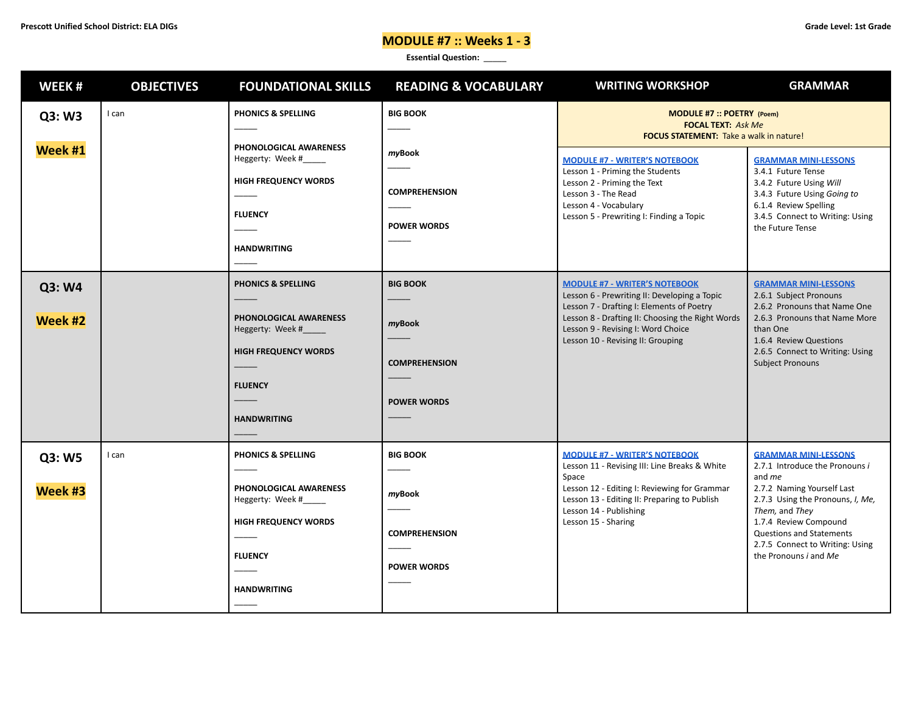# **MODULE #7 :: Weeks 1 - 3**

| WEEK#             | <b>OBJECTIVES</b> | <b>FOUNDATIONAL SKILLS</b>                                                                                                                         | <b>READING &amp; VOCABULARY</b>                                         | <b>WRITING WORKSHOP</b>                                                                                                                                                                                                                                          | <b>GRAMMAR</b>                                                                                                                                                                                                                                                                             |
|-------------------|-------------------|----------------------------------------------------------------------------------------------------------------------------------------------------|-------------------------------------------------------------------------|------------------------------------------------------------------------------------------------------------------------------------------------------------------------------------------------------------------------------------------------------------------|--------------------------------------------------------------------------------------------------------------------------------------------------------------------------------------------------------------------------------------------------------------------------------------------|
| Q3: W3            | I can             | <b>PHONICS &amp; SPELLING</b>                                                                                                                      | <b>BIG BOOK</b>                                                         | MODULE #7 :: POETRY (Poem)<br><b>FOCAL TEXT: Ask Me</b><br><b>FOCUS STATEMENT:</b> Take a walk in nature!                                                                                                                                                        |                                                                                                                                                                                                                                                                                            |
| Week #1           |                   | PHONOLOGICAL AWARENESS<br>Heggerty: Week #_____<br><b>HIGH FREQUENCY WORDS</b><br><b>FLUENCY</b><br><b>HANDWRITING</b>                             | myBook<br><b>COMPREHENSION</b><br><b>POWER WORDS</b>                    | <b>MODULE #7 - WRITER'S NOTEBOOK</b><br>Lesson 1 - Priming the Students<br>Lesson 2 - Priming the Text<br>Lesson 3 - The Read<br>Lesson 4 - Vocabulary<br>Lesson 5 - Prewriting I: Finding a Topic                                                               | <b>GRAMMAR MINI-LESSONS</b><br>3.4.1 Future Tense<br>3.4.2 Future Using Will<br>3.4.3 Future Using Going to<br>6.1.4 Review Spelling<br>3.4.5 Connect to Writing: Using<br>the Future Tense                                                                                                |
| Q3: W4<br>Week #2 |                   | <b>PHONICS &amp; SPELLING</b><br>PHONOLOGICAL AWARENESS<br>Heggerty: Week #<br><b>HIGH FREQUENCY WORDS</b><br><b>FLUENCY</b><br><b>HANDWRITING</b> | <b>BIG BOOK</b><br>myBook<br><b>COMPREHENSION</b><br><b>POWER WORDS</b> | <b>MODULE #7 - WRITER'S NOTEBOOK</b><br>Lesson 6 - Prewriting II: Developing a Topic<br>Lesson 7 - Drafting I: Elements of Poetry<br>Lesson 8 - Drafting II: Choosing the Right Words<br>Lesson 9 - Revising I: Word Choice<br>Lesson 10 - Revising II: Grouping | <b>GRAMMAR MINI-LESSONS</b><br>2.6.1 Subject Pronouns<br>2.6.2 Pronouns that Name One<br>2.6.3 Pronouns that Name More<br>than One<br>1.6.4 Review Questions<br>2.6.5 Connect to Writing: Using<br><b>Subject Pronouns</b>                                                                 |
| Q3: W5<br>Week #3 | I can             | <b>PHONICS &amp; SPELLING</b><br>PHONOLOGICAL AWARENESS<br>Heggerty: Week #<br><b>HIGH FREQUENCY WORDS</b><br><b>FLUENCY</b><br><b>HANDWRITING</b> | <b>BIG BOOK</b><br>myBook<br><b>COMPREHENSION</b><br><b>POWER WORDS</b> | <b>MODULE #7 - WRITER'S NOTEBOOK</b><br>Lesson 11 - Revising III: Line Breaks & White<br>Space<br>Lesson 12 - Editing I: Reviewing for Grammar<br>Lesson 13 - Editing II: Preparing to Publish<br>Lesson 14 - Publishing<br>Lesson 15 - Sharing                  | <b>GRAMMAR MINI-LESSONS</b><br>2.7.1 Introduce the Pronouns i<br>and <i>me</i><br>2.7.2 Naming Yourself Last<br>2.7.3 Using the Pronouns, I, Me,<br>Them, and They<br>1.7.4 Review Compound<br><b>Questions and Statements</b><br>2.7.5 Connect to Writing: Using<br>the Pronouns i and Me |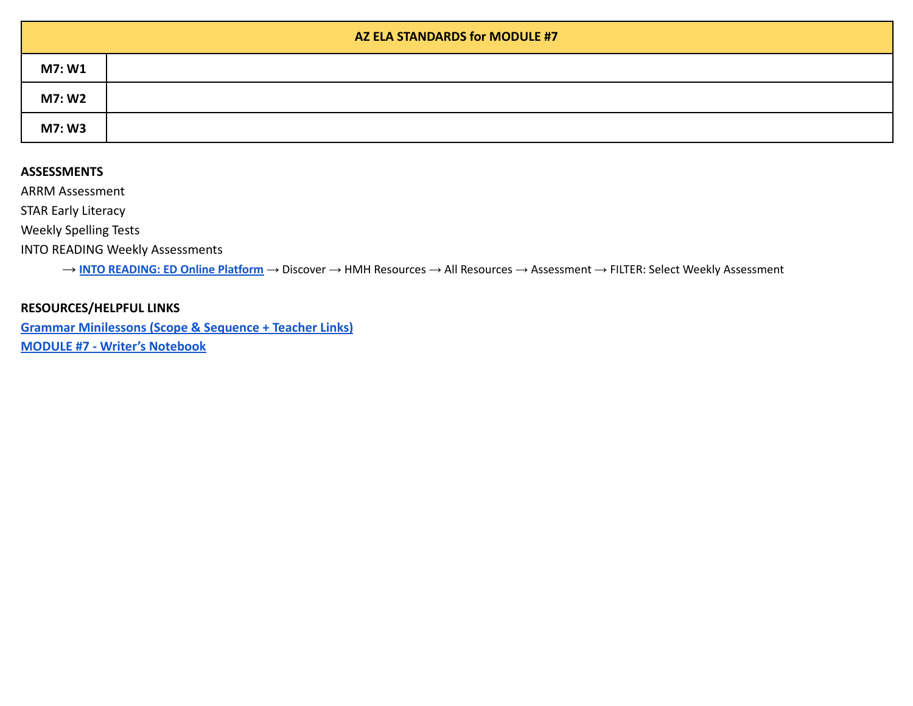|        | AZ ELA STANDARDS for MODULE #7 |
|--------|--------------------------------|
| M7: W1 |                                |
| M7: W2 |                                |
| M7: W3 |                                |

ARRM Assessment

STAR Early Literacy

Weekly Spelling Tests

INTO READING Weekly Assessments

→ **INTO [READING:](https://www.hmhco.com/ui/login/?state=https%3A%2F%2Fwww.hmhco.com%2Fone%2F%23%2F) ED Online Platform** → Discover → HMH Resources → All Resources → Assessment → FILTER: Select Weekly Assessment

### **RESOURCES/HELPFUL LINKS**

**[Grammar Minilessons \(Scope & Sequence + Teacher Links\)](https://www.hmhco.com/content/reading/into_reading/g1/teacher/epub/hmh_ir1na_egtggss_teacher/#cards--1re_gtg_na_gss_01/) [MODULE #7 - Writer's Notebook](https://www.hmhco.com/content/reading/into_reading/g1/teacher/pdf/1re_wnb_wr_07_poem.pdf?custom_correlation_id=51d07dc5-ebdd-11eb-9df0-8346cd863291#page=9)**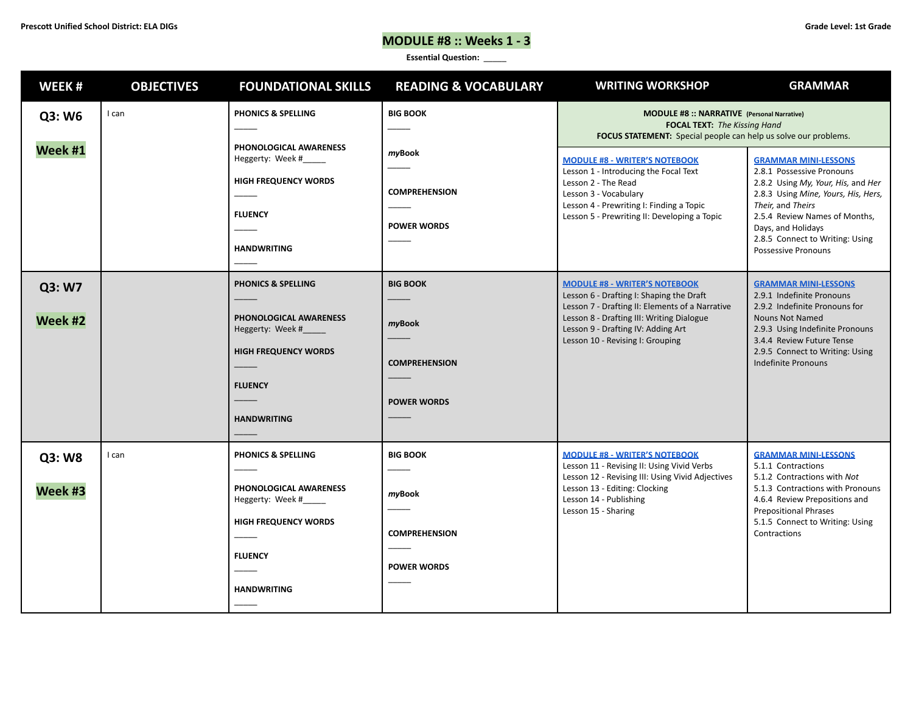# **MODULE #8 :: Weeks 1 - 3**

| WEEK#             | <b>OBJECTIVES</b> | <b>FOUNDATIONAL SKILLS</b>                                                                                                                         | <b>READING &amp; VOCABULARY</b>                                         | <b>WRITING WORKSHOP</b>                                                                                                                                                                                                                                    | <b>GRAMMAR</b>                                                                                                                                                                                                                                                              |
|-------------------|-------------------|----------------------------------------------------------------------------------------------------------------------------------------------------|-------------------------------------------------------------------------|------------------------------------------------------------------------------------------------------------------------------------------------------------------------------------------------------------------------------------------------------------|-----------------------------------------------------------------------------------------------------------------------------------------------------------------------------------------------------------------------------------------------------------------------------|
| Q3: W6            | I can             | <b>PHONICS &amp; SPELLING</b>                                                                                                                      | <b>BIG BOOK</b>                                                         | MODULE #8 :: NARRATIVE (Personal Narrative)<br><b>FOCAL TEXT: The Kissing Hand</b><br>FOCUS STATEMENT: Special people can help us solve our problems.                                                                                                      |                                                                                                                                                                                                                                                                             |
| Week #1           |                   | PHONOLOGICAL AWARENESS<br>Heggerty: Week #_____<br><b>HIGH FREQUENCY WORDS</b><br><b>FLUENCY</b><br><b>HANDWRITING</b>                             | myBook<br><b>COMPREHENSION</b><br><b>POWER WORDS</b>                    | <b>MODULE #8 - WRITER'S NOTEBOOK</b><br>Lesson 1 - Introducing the Focal Text<br>Lesson 2 - The Read<br>Lesson 3 - Vocabulary<br>Lesson 4 - Prewriting I: Finding a Topic<br>Lesson 5 - Prewriting II: Developing a Topic                                  | <b>GRAMMAR MINI-LESSONS</b><br>2.8.1 Possessive Pronouns<br>2.8.2 Using My, Your, His, and Her<br>2.8.3 Using Mine, Yours, His, Hers,<br>Their, and Theirs<br>2.5.4 Review Names of Months,<br>Days, and Holidays<br>2.8.5 Connect to Writing: Using<br>Possessive Pronouns |
| Q3: W7<br>Week #2 |                   | <b>PHONICS &amp; SPELLING</b><br>PHONOLOGICAL AWARENESS<br>Heggerty: Week #<br><b>HIGH FREQUENCY WORDS</b><br><b>FLUENCY</b><br><b>HANDWRITING</b> | <b>BIG BOOK</b><br>myBook<br><b>COMPREHENSION</b><br><b>POWER WORDS</b> | <b>MODULE #8 - WRITER'S NOTEBOOK</b><br>Lesson 6 - Drafting I: Shaping the Draft<br>Lesson 7 - Drafting II: Elements of a Narrative<br>Lesson 8 - Drafting III: Writing Dialogue<br>Lesson 9 - Drafting IV: Adding Art<br>Lesson 10 - Revising I: Grouping | <b>GRAMMAR MINI-LESSONS</b><br>2.9.1 Indefinite Pronouns<br>2.9.2 Indefinite Pronouns for<br><b>Nouns Not Named</b><br>2.9.3 Using Indefinite Pronouns<br>3.4.4 Review Future Tense<br>2.9.5 Connect to Writing: Using<br><b>Indefinite Pronouns</b>                        |
| Q3: W8<br>Week #3 | I can             | <b>PHONICS &amp; SPELLING</b><br>PHONOLOGICAL AWARENESS<br>Heggerty: Week #<br><b>HIGH FREQUENCY WORDS</b><br><b>FLUENCY</b><br><b>HANDWRITING</b> | <b>BIG BOOK</b><br>myBook<br><b>COMPREHENSION</b><br><b>POWER WORDS</b> | <b>MODULE #8 - WRITER'S NOTEBOOK</b><br>Lesson 11 - Revising II: Using Vivid Verbs<br>Lesson 12 - Revising III: Using Vivid Adjectives<br>Lesson 13 - Editing: Clocking<br>Lesson 14 - Publishing<br>Lesson 15 - Sharing                                   | <b>GRAMMAR MINI-LESSONS</b><br>5.1.1 Contractions<br>5.1.2 Contractions with Not<br>5.1.3 Contractions with Pronouns<br>4.6.4 Review Prepositions and<br><b>Prepositional Phrases</b><br>5.1.5 Connect to Writing: Using<br>Contractions                                    |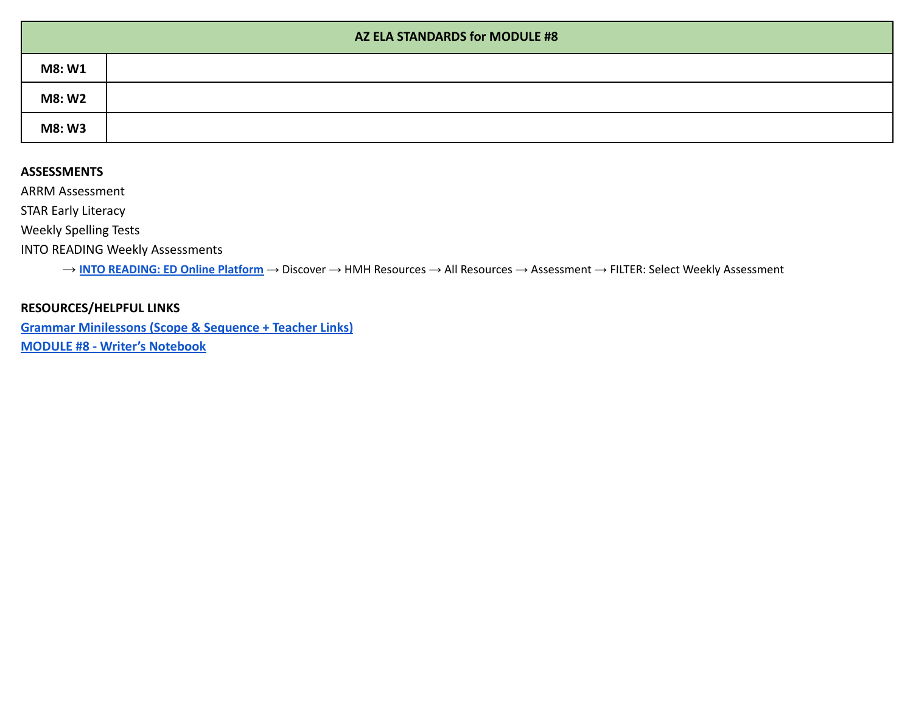|               | AZ ELA STANDARDS for MODULE #8 |  |  |
|---------------|--------------------------------|--|--|
| M8: W1        |                                |  |  |
| <b>M8: W2</b> |                                |  |  |
| M8: W3        |                                |  |  |

ARRM Assessment

STAR Early Literacy

Weekly Spelling Tests

INTO READING Weekly Assessments

→ **INTO [READING:](https://www.hmhco.com/ui/login/?state=https%3A%2F%2Fwww.hmhco.com%2Fone%2F%23%2F) ED Online Platform** → Discover → HMH Resources → All Resources → Assessment → FILTER: Select Weekly Assessment

### **RESOURCES/HELPFUL LINKS**

**[Grammar Minilessons \(Scope & Sequence + Teacher Links\)](https://www.hmhco.com/content/reading/into_reading/g1/teacher/epub/hmh_ir1na_egtggss_teacher/#cards--1re_gtg_na_gss_01/) [MODULE #8 - Writer's Notebook](https://www.hmhco.com/content/reading/into_reading/g1/teacher/pdf/1re_wnb_wr_08_persnarr.pdf?custom_correlation_id=d641ac41-ebdd-11eb-bac6-6901abce7eae#page=1)**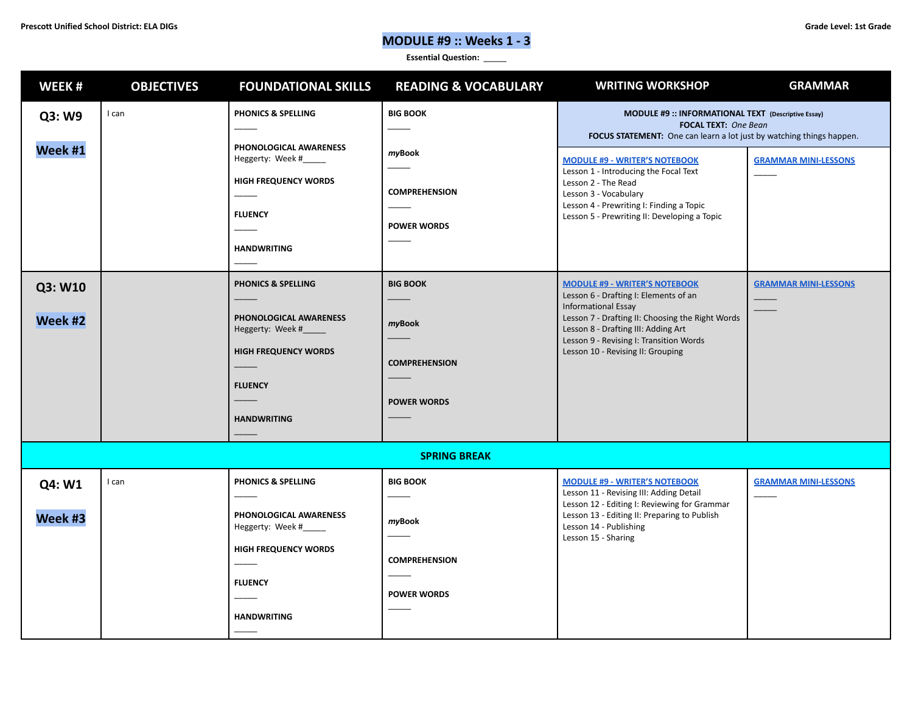# **MODULE #9 :: Weeks 1 - 3**

| WEEK#              | <b>OBJECTIVES</b> | <b>FOUNDATIONAL SKILLS</b>                                                                                                                         | <b>READING &amp; VOCABULARY</b>                                         | <b>WRITING WORKSHOP</b>                                                                                                                                                                                                                                                                | <b>GRAMMAR</b>              |
|--------------------|-------------------|----------------------------------------------------------------------------------------------------------------------------------------------------|-------------------------------------------------------------------------|----------------------------------------------------------------------------------------------------------------------------------------------------------------------------------------------------------------------------------------------------------------------------------------|-----------------------------|
| Q3: W9             | I can             | PHONICS & SPELLING                                                                                                                                 | <b>BIG BOOK</b>                                                         | MODULE #9 :: INFORMATIONAL TEXT (Descriptive Essay)<br><b>FOCAL TEXT:</b> One Bean<br>FOCUS STATEMENT: One can learn a lot just by watching things happen.                                                                                                                             |                             |
| Week #1            |                   | PHONOLOGICAL AWARENESS<br>Heggerty: Week #<br><b>HIGH FREQUENCY WORDS</b><br><b>FLUENCY</b><br><b>HANDWRITING</b>                                  | myBook<br><b>COMPREHENSION</b><br><b>POWER WORDS</b>                    | <b>MODULE #9 - WRITER'S NOTEBOOK</b><br>Lesson 1 - Introducing the Focal Text<br>Lesson 2 - The Read<br>Lesson 3 - Vocabulary<br>Lesson 4 - Prewriting I: Finding a Topic<br>Lesson 5 - Prewriting II: Developing a Topic                                                              | <b>GRAMMAR MINI-LESSONS</b> |
| Q3: W10<br>Week #2 |                   | <b>PHONICS &amp; SPELLING</b><br>PHONOLOGICAL AWARENESS<br>Heggerty: Week #<br><b>HIGH FREQUENCY WORDS</b><br><b>FLUENCY</b><br><b>HANDWRITING</b> | <b>BIG BOOK</b><br>myBook<br><b>COMPREHENSION</b><br><b>POWER WORDS</b> | <b>MODULE #9 - WRITER'S NOTEBOOK</b><br>Lesson 6 - Drafting I: Elements of an<br><b>Informational Essay</b><br>Lesson 7 - Drafting II: Choosing the Right Words<br>Lesson 8 - Drafting III: Adding Art<br>Lesson 9 - Revising I: Transition Words<br>Lesson 10 - Revising II: Grouping | <b>GRAMMAR MINI-LESSONS</b> |
|                    |                   |                                                                                                                                                    | <b>SPRING BREAK</b>                                                     |                                                                                                                                                                                                                                                                                        |                             |
| Q4: W1<br>Week #3  | I can             | PHONICS & SPELLING<br>PHONOLOGICAL AWARENESS<br>Heggerty: Week #_____<br><b>HIGH FREQUENCY WORDS</b><br><b>FLUENCY</b><br><b>HANDWRITING</b>       | <b>BIG BOOK</b><br>myBook<br><b>COMPREHENSION</b><br><b>POWER WORDS</b> | <b>MODULE #9 - WRITER'S NOTEBOOK</b><br>Lesson 11 - Revising III: Adding Detail<br>Lesson 12 - Editing I: Reviewing for Grammar<br>Lesson 13 - Editing II: Preparing to Publish<br>Lesson 14 - Publishing<br>Lesson 15 - Sharing                                                       | <b>GRAMMAR MINI-LESSONS</b> |
|                    |                   |                                                                                                                                                    |                                                                         |                                                                                                                                                                                                                                                                                        |                             |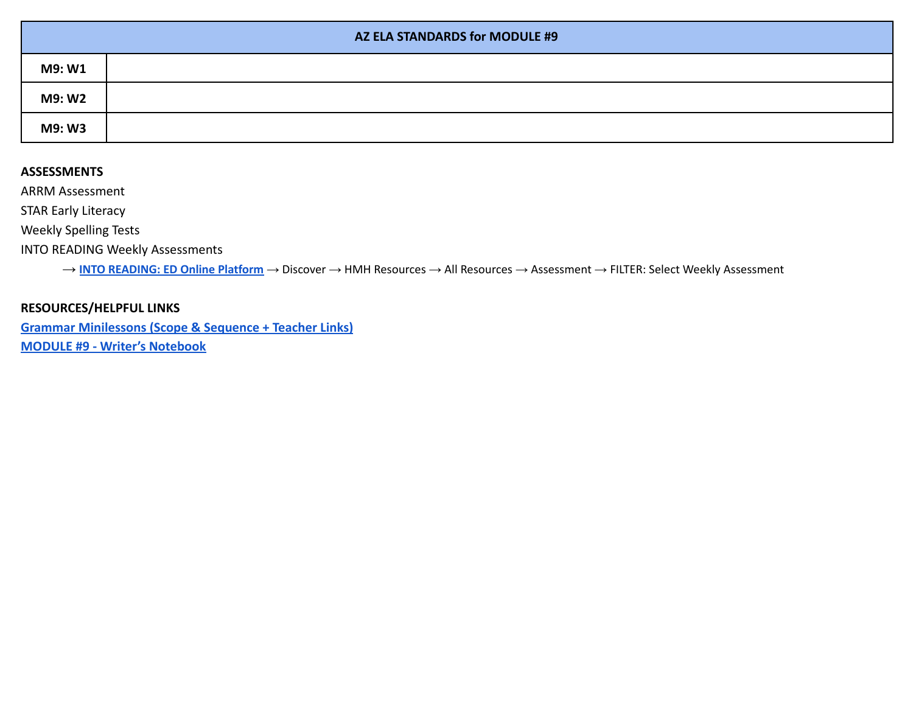|        | AZ ELA STANDARDS for MODULE #9 |  |  |
|--------|--------------------------------|--|--|
| M9: W1 |                                |  |  |
| M9: W2 |                                |  |  |
| M9: W3 |                                |  |  |

ARRM Assessment

STAR Early Literacy

Weekly Spelling Tests

INTO READING Weekly Assessments

→ **INTO [READING:](https://www.hmhco.com/ui/login/?state=https%3A%2F%2Fwww.hmhco.com%2Fone%2F%23%2F) ED Online Platform** → Discover → HMH Resources → All Resources → Assessment → FILTER: Select Weekly Assessment

### **RESOURCES/HELPFUL LINKS**

**[Grammar Minilessons \(Scope & Sequence + Teacher Links\)](https://www.hmhco.com/content/reading/into_reading/g1/teacher/epub/hmh_ir1na_egtggss_teacher/#cards--1re_gtg_na_gss_01/) [MODULE #9 - Writer's Notebook](https://www.hmhco.com/content/reading/into_reading/g1/teacher/pdf/1re_wnb_wr_09_descessay.pdf?custom_correlation_id=30bc8f01-ebdf-11eb-9432-c5dd884fc0da#page=7)**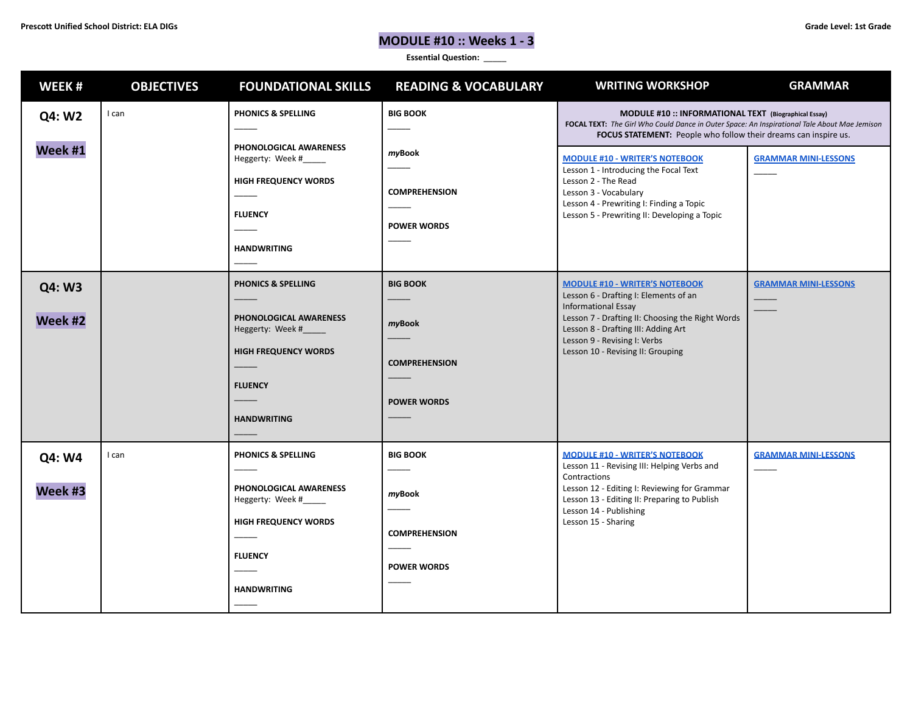# **MODULE #10 :: Weeks 1 - 3**

| WEEK#             | <b>OBJECTIVES</b> | <b>FOUNDATIONAL SKILLS</b>                                                                                                                             | <b>READING &amp; VOCABULARY</b>                                         | <b>WRITING WORKSHOP</b>                                                                                                                                                                                                                                                      | <b>GRAMMAR</b>              |
|-------------------|-------------------|--------------------------------------------------------------------------------------------------------------------------------------------------------|-------------------------------------------------------------------------|------------------------------------------------------------------------------------------------------------------------------------------------------------------------------------------------------------------------------------------------------------------------------|-----------------------------|
| Q4: W2            | I can             | PHONICS & SPELLING                                                                                                                                     | <b>BIG BOOK</b>                                                         | MODULE #10 :: INFORMATIONAL TEXT (Biographical Essay)<br>FOCAL TEXT: The Girl Who Could Dance in Outer Space: An Inspirational Tale About Mae Jemison<br>FOCUS STATEMENT: People who follow their dreams can inspire us.                                                     |                             |
| Week #1           |                   | PHONOLOGICAL AWARENESS<br>Heggerty: Week #_____<br><b>HIGH FREQUENCY WORDS</b><br><b>FLUENCY</b><br><b>HANDWRITING</b>                                 | myBook<br><b>COMPREHENSION</b><br><b>POWER WORDS</b>                    | <b>MODULE #10 - WRITER'S NOTEBOOK</b><br>Lesson 1 - Introducing the Focal Text<br>Lesson 2 - The Read<br>Lesson 3 - Vocabulary<br>Lesson 4 - Prewriting I: Finding a Topic<br>Lesson 5 - Prewriting II: Developing a Topic                                                   | <b>GRAMMAR MINI-LESSONS</b> |
| Q4: W3<br>Week #2 |                   | <b>PHONICS &amp; SPELLING</b><br>PHONOLOGICAL AWARENESS<br>Heggerty: Week #____<br><b>HIGH FREQUENCY WORDS</b><br><b>FLUENCY</b><br><b>HANDWRITING</b> | <b>BIG BOOK</b><br>myBook<br><b>COMPREHENSION</b><br><b>POWER WORDS</b> | <b>MODULE #10 - WRITER'S NOTEBOOK</b><br>Lesson 6 - Drafting I: Elements of an<br><b>Informational Essay</b><br>Lesson 7 - Drafting II: Choosing the Right Words<br>Lesson 8 - Drafting III: Adding Art<br>Lesson 9 - Revising I: Verbs<br>Lesson 10 - Revising II: Grouping | <u>GRAMMAR MINI-LESSONS</u> |
| Q4: W4<br>Week #3 | I can             | PHONICS & SPELLING<br>PHONOLOGICAL AWARENESS<br>Heggerty: Week #_____<br><b>HIGH FREQUENCY WORDS</b><br><b>FLUENCY</b><br><b>HANDWRITING</b>           | <b>BIG BOOK</b><br>myBook<br><b>COMPREHENSION</b><br><b>POWER WORDS</b> | <b>MODULE #10 - WRITER'S NOTEBOOK</b><br>Lesson 11 - Revising III: Helping Verbs and<br>Contractions<br>Lesson 12 - Editing I: Reviewing for Grammar<br>Lesson 13 - Editing II: Preparing to Publish<br>Lesson 14 - Publishing<br>Lesson 15 - Sharing                        | <b>GRAMMAR MINI-LESSONS</b> |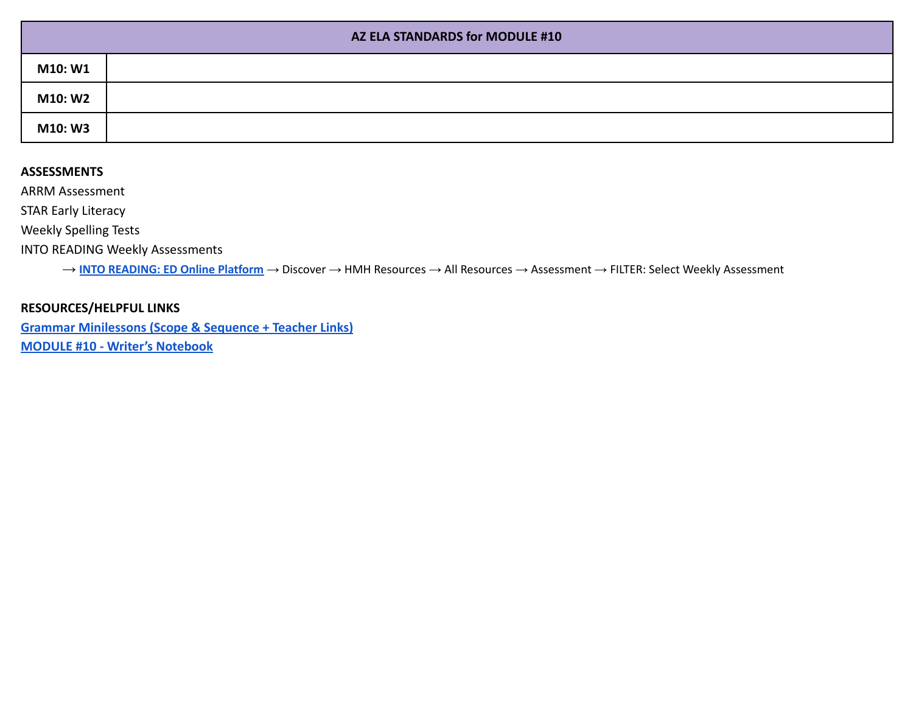|         | AZ ELA STANDARDS for MODULE #10 |  |  |
|---------|---------------------------------|--|--|
| M10: W1 |                                 |  |  |
| M10: W2 |                                 |  |  |
| M10: W3 |                                 |  |  |

ARRM Assessment

STAR Early Literacy

Weekly Spelling Tests

INTO READING Weekly Assessments

→ **INTO [READING:](https://www.hmhco.com/ui/login/?state=https%3A%2F%2Fwww.hmhco.com%2Fone%2F%23%2F) ED Online Platform** → Discover → HMH Resources → All Resources → Assessment → FILTER: Select Weekly Assessment

### **RESOURCES/HELPFUL LINKS**

**[Grammar Minilessons \(Scope & Sequence + Teacher Links\)](https://www.hmhco.com/content/reading/into_reading/g1/teacher/epub/hmh_ir1na_egtggss_teacher/#cards--1re_gtg_na_gss_01/) [MODULE #10 - Writer's Notebook](https://www.hmhco.com/content/reading/into_reading/g1/teacher/pdf/1re_wnb_wr_10_biogessay.pdf?custom_correlation_id=cf9aad28-ebe9-11eb-b6fc-39fbcd215054#page=2)**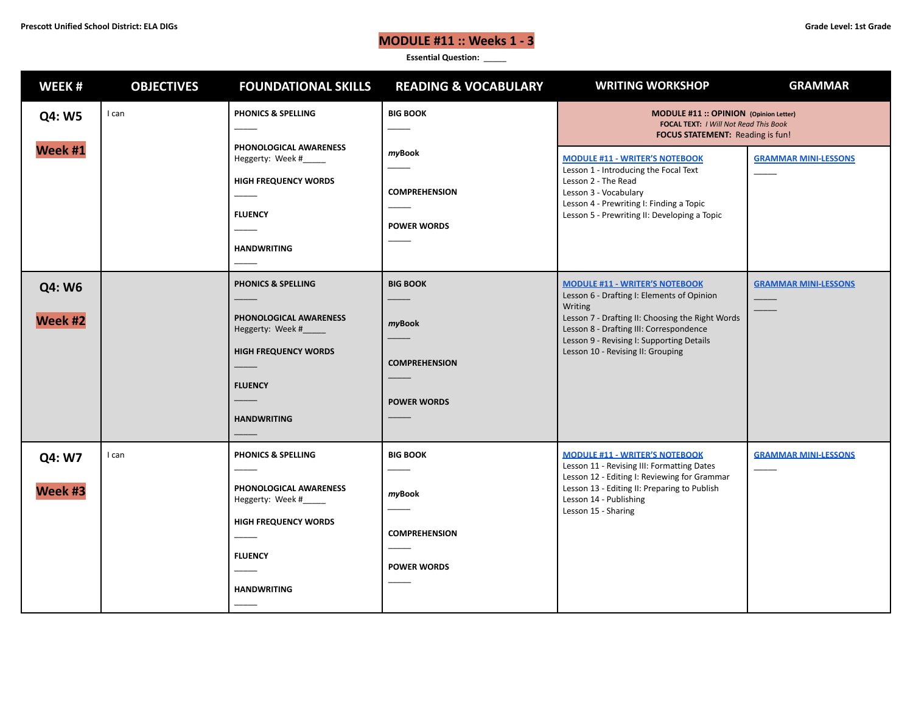# **MODULE #11 :: Weeks 1 - 3**

| WEEK#             | <b>OBJECTIVES</b> | <b>FOUNDATIONAL SKILLS</b>                                                                                                                              | <b>READING &amp; VOCABULARY</b>                                         | <b>WRITING WORKSHOP</b>                                                                                                                                                                                                                                                         | <b>GRAMMAR</b>              |
|-------------------|-------------------|---------------------------------------------------------------------------------------------------------------------------------------------------------|-------------------------------------------------------------------------|---------------------------------------------------------------------------------------------------------------------------------------------------------------------------------------------------------------------------------------------------------------------------------|-----------------------------|
| Q4: W5            | I can             | PHONICS & SPELLING                                                                                                                                      | <b>BIG BOOK</b>                                                         | MODULE #11 :: OPINION (Opinion Letter)<br>FOCAL TEXT: I Will Not Read This Book<br><b>FOCUS STATEMENT:</b> Reading is fun!                                                                                                                                                      |                             |
| Week #1           |                   | PHONOLOGICAL AWARENESS<br>Heggerty: Week #_____<br><b>HIGH FREQUENCY WORDS</b><br><b>FLUENCY</b><br><b>HANDWRITING</b>                                  | myBook<br><b>COMPREHENSION</b><br><b>POWER WORDS</b>                    | <b>MODULE #11 - WRITER'S NOTEBOOK</b><br>Lesson 1 - Introducing the Focal Text<br>Lesson 2 - The Read<br>Lesson 3 - Vocabulary<br>Lesson 4 - Prewriting I: Finding a Topic<br>Lesson 5 - Prewriting II: Developing a Topic                                                      | <b>GRAMMAR MINI-LESSONS</b> |
| Q4: W6<br>Week #2 |                   | <b>PHONICS &amp; SPELLING</b><br>PHONOLOGICAL AWARENESS<br>Heggerty: Week #_____<br><b>HIGH FREQUENCY WORDS</b><br><b>FLUENCY</b><br><b>HANDWRITING</b> | <b>BIG BOOK</b><br>myBook<br><b>COMPREHENSION</b><br><b>POWER WORDS</b> | <b>MODULE #11 - WRITER'S NOTEBOOK</b><br>Lesson 6 - Drafting I: Elements of Opinion<br>Writing<br>Lesson 7 - Drafting II: Choosing the Right Words<br>Lesson 8 - Drafting III: Correspondence<br>Lesson 9 - Revising I: Supporting Details<br>Lesson 10 - Revising II: Grouping | <b>GRAMMAR MINI-LESSONS</b> |
| Q4: W7<br>Week #3 | I can             | PHONICS & SPELLING<br>PHONOLOGICAL AWARENESS<br>Heggerty: Week #<br><b>HIGH FREQUENCY WORDS</b><br><b>FLUENCY</b><br><b>HANDWRITING</b>                 | <b>BIG BOOK</b><br>myBook<br><b>COMPREHENSION</b><br><b>POWER WORDS</b> | <b>MODULE #11 - WRITER'S NOTEBOOK</b><br>Lesson 11 - Revising III: Formatting Dates<br>Lesson 12 - Editing I: Reviewing for Grammar<br>Lesson 13 - Editing II: Preparing to Publish<br>Lesson 14 - Publishing<br>Lesson 15 - Sharing                                            | <b>GRAMMAR MINI-LESSONS</b> |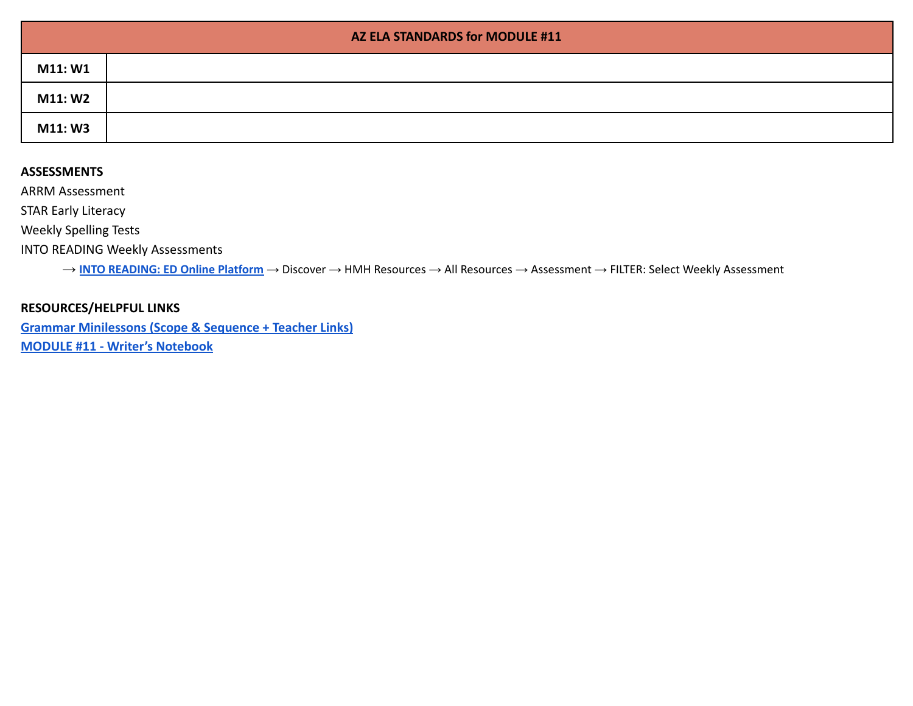|         | AZ ELA STANDARDS for MODULE #11 |
|---------|---------------------------------|
| M11: W1 |                                 |
| M11: W2 |                                 |
| M11: W3 |                                 |

ARRM Assessment

STAR Early Literacy

Weekly Spelling Tests

INTO READING Weekly Assessments

→ **INTO [READING:](https://www.hmhco.com/ui/login/?state=https%3A%2F%2Fwww.hmhco.com%2Fone%2F%23%2F) ED Online Platform** → Discover → HMH Resources → All Resources → Assessment → FILTER: Select Weekly Assessment

### **RESOURCES/HELPFUL LINKS**

**[Grammar Minilessons \(Scope & Sequence + Teacher Links\)](https://www.hmhco.com/content/reading/into_reading/g1/teacher/epub/hmh_ir1na_egtggss_teacher/#cards--1re_gtg_na_gss_01/) [MODULE #11 - Writer's Notebook](https://www.hmhco.com/content/reading/into_reading/g1/teacher/pdf/1re_wnb_wr_11_opletter.pdf?custom_correlation_id=6ea5183d-ebea-11eb-bac6-53c35f246854#page=6)**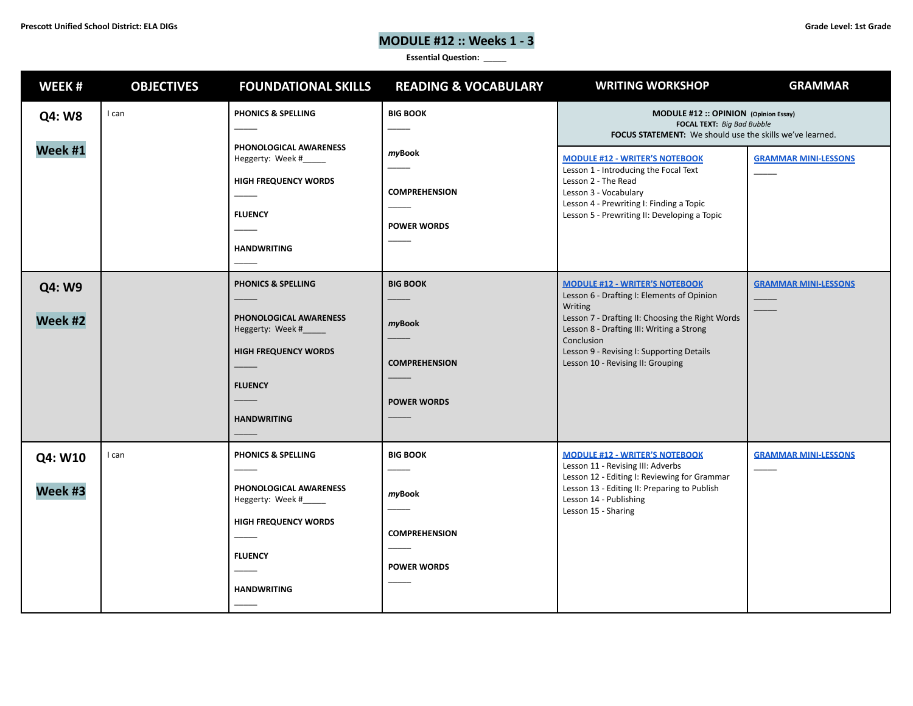# **MODULE #12 :: Weeks 1 - 3**

| WEEK#              | <b>OBJECTIVES</b> | <b>FOUNDATIONAL SKILLS</b>                                                                                                                             | <b>READING &amp; VOCABULARY</b>                                         | <b>WRITING WORKSHOP</b>                                                                                                                                                                                                                                                                                | <b>GRAMMAR</b>              |
|--------------------|-------------------|--------------------------------------------------------------------------------------------------------------------------------------------------------|-------------------------------------------------------------------------|--------------------------------------------------------------------------------------------------------------------------------------------------------------------------------------------------------------------------------------------------------------------------------------------------------|-----------------------------|
| Q4: W8             | I can             | <b>PHONICS &amp; SPELLING</b>                                                                                                                          | <b>BIG BOOK</b>                                                         | MODULE #12 :: OPINION (Opinion Essay)<br>FOCAL TEXT: Big Bad Bubble<br>FOCUS STATEMENT: We should use the skills we've learned.                                                                                                                                                                        |                             |
| Week #1            |                   | PHONOLOGICAL AWARENESS<br>Heggerty: Week #<br><b>HIGH FREQUENCY WORDS</b><br><b>FLUENCY</b><br><b>HANDWRITING</b>                                      | myBook<br><b>COMPREHENSION</b><br><b>POWER WORDS</b>                    | <b>MODULE #12 - WRITER'S NOTEBOOK</b><br>Lesson 1 - Introducing the Focal Text<br>Lesson 2 - The Read<br>Lesson 3 - Vocabulary<br>Lesson 4 - Prewriting I: Finding a Topic<br>Lesson 5 - Prewriting II: Developing a Topic                                                                             | <b>GRAMMAR MINI-LESSONS</b> |
| Q4: W9<br>Week #2  |                   | <b>PHONICS &amp; SPELLING</b><br>PHONOLOGICAL AWARENESS<br>Heggerty: Week #____<br><b>HIGH FREQUENCY WORDS</b><br><b>FLUENCY</b><br><b>HANDWRITING</b> | <b>BIG BOOK</b><br>myBook<br><b>COMPREHENSION</b><br><b>POWER WORDS</b> | <b>MODULE #12 - WRITER'S NOTEBOOK</b><br>Lesson 6 - Drafting I: Elements of Opinion<br><b>Writing</b><br>Lesson 7 - Drafting II: Choosing the Right Words<br>Lesson 8 - Drafting III: Writing a Strong<br>Conclusion<br>Lesson 9 - Revising I: Supporting Details<br>Lesson 10 - Revising II: Grouping | <b>GRAMMAR MINI-LESSONS</b> |
| Q4: W10<br>Week #3 | I can             | <b>PHONICS &amp; SPELLING</b><br>PHONOLOGICAL AWARENESS<br>Heggerty: Week #<br><b>HIGH FREQUENCY WORDS</b><br><b>FLUENCY</b><br><b>HANDWRITING</b>     | <b>BIG BOOK</b><br>myBook<br><b>COMPREHENSION</b><br><b>POWER WORDS</b> | <b>MODULE #12 - WRITER'S NOTEBOOK</b><br>Lesson 11 - Revising III: Adverbs<br>Lesson 12 - Editing I: Reviewing for Grammar<br>Lesson 13 - Editing II: Preparing to Publish<br>Lesson 14 - Publishing<br>Lesson 15 - Sharing                                                                            | <b>GRAMMAR MINI-LESSONS</b> |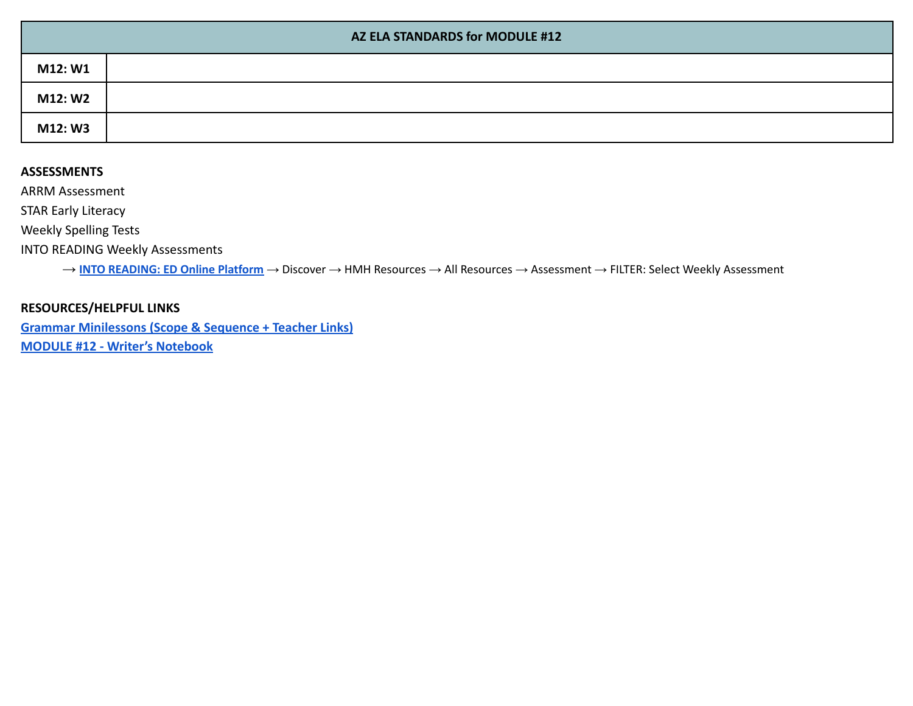|         | AZ ELA STANDARDS for MODULE #12 |  |  |
|---------|---------------------------------|--|--|
| M12: W1 |                                 |  |  |
| M12: W2 |                                 |  |  |
| M12: W3 |                                 |  |  |

ARRM Assessment

STAR Early Literacy

Weekly Spelling Tests

INTO READING Weekly Assessments

→ **INTO [READING:](https://www.hmhco.com/ui/login/?state=https%3A%2F%2Fwww.hmhco.com%2Fone%2F%23%2F) ED Online Platform** → Discover → HMH Resources → All Resources → Assessment → FILTER: Select Weekly Assessment

### **RESOURCES/HELPFUL LINKS**

**[Grammar Minilessons \(Scope & Sequence + Teacher Links\)](https://www.hmhco.com/content/reading/into_reading/g1/teacher/epub/hmh_ir1na_egtggss_teacher/#cards--1re_gtg_na_gss_01/) [MODULE #12 - Writer's Notebook](https://www.hmhco.com/content/reading/into_reading/g1/teacher/pdf/1re_wnb_wr_12_opessay.pdf?custom_correlation_id=d6cbfaf8-ebf1-11eb-af68-57adb66ed972#page=1)**